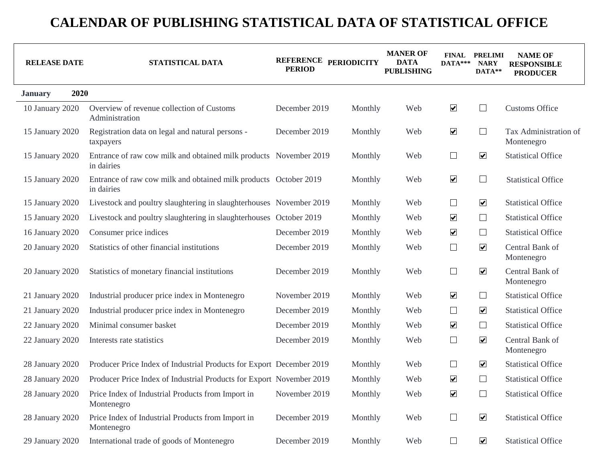| <b>RELEASE DATE</b>    | STATISTICAL DATA                                                                | REFERENCE PERIODICITY<br><b>PERIOD</b> |         | <b>MANER OF</b><br><b>DATA</b><br><b>PUBLISHING</b> | $DATA***$            | <b>FINAL PRELIMI</b><br><b>NARY</b><br>DATA** | <b>NAME OF</b><br><b>RESPONSIBLE</b><br><b>PRODUCER</b> |
|------------------------|---------------------------------------------------------------------------------|----------------------------------------|---------|-----------------------------------------------------|----------------------|-----------------------------------------------|---------------------------------------------------------|
| 2020<br><b>January</b> |                                                                                 |                                        |         |                                                     |                      |                                               |                                                         |
| 10 January 2020        | Overview of revenue collection of Customs<br>Administration                     | December 2019                          | Monthly | Web                                                 | $\blacktriangledown$ | $\mathcal{L}_{\mathcal{A}}$                   | <b>Customs Office</b>                                   |
| 15 January 2020        | Registration data on legal and natural persons -<br>taxpayers                   | December 2019                          | Monthly | Web                                                 | $\blacktriangledown$ | $\Box$                                        | Tax Administration of<br>Montenegro                     |
| 15 January 2020        | Entrance of raw cow milk and obtained milk products November 2019<br>in dairies |                                        | Monthly | Web                                                 | $\Box$               | $\blacktriangledown$                          | <b>Statistical Office</b>                               |
| 15 January 2020        | Entrance of raw cow milk and obtained milk products October 2019<br>in dairies  |                                        | Monthly | Web                                                 | $\blacktriangledown$ | $\Box$                                        | <b>Statistical Office</b>                               |
| 15 January 2020        | Livestock and poultry slaughtering in slaughterhouses November 2019             |                                        | Monthly | Web                                                 | $\Box$               | $\blacktriangledown$                          | <b>Statistical Office</b>                               |
| 15 January 2020        | Livestock and poultry slaughtering in slaughterhouses October 2019              |                                        | Monthly | Web                                                 | $\blacktriangledown$ | $\Box$                                        | <b>Statistical Office</b>                               |
| 16 January 2020        | Consumer price indices                                                          | December 2019                          | Monthly | Web                                                 | $\blacktriangledown$ | $\Box$                                        | <b>Statistical Office</b>                               |
| 20 January 2020        | Statistics of other financial institutions                                      | December 2019                          | Monthly | Web                                                 | $\Box$               | $\boxed{\blacktriangledown}$                  | Central Bank of<br>Montenegro                           |
| 20 January 2020        | Statistics of monetary financial institutions                                   | December 2019                          | Monthly | Web                                                 | $\Box$               | $\overline{\mathbf{v}}$                       | Central Bank of<br>Montenegro                           |
| 21 January 2020        | Industrial producer price index in Montenegro                                   | November 2019                          | Monthly | Web                                                 | $\blacktriangledown$ | $\Box$                                        | <b>Statistical Office</b>                               |
| 21 January 2020        | Industrial producer price index in Montenegro                                   | December 2019                          | Monthly | Web                                                 | $\Box$               | $\boxed{\blacktriangledown}$                  | <b>Statistical Office</b>                               |
| 22 January 2020        | Minimal consumer basket                                                         | December 2019                          | Monthly | Web                                                 | $\blacktriangledown$ | $\Box$                                        | <b>Statistical Office</b>                               |
| 22 January 2020        | Interests rate statistics                                                       | December 2019                          | Monthly | Web                                                 | $\Box$               | $\overline{\mathbf{v}}$                       | Central Bank of<br>Montenegro                           |
| 28 January 2020        | Producer Price Index of Industrial Products for Export December 2019            |                                        | Monthly | Web                                                 | $\Box$               | $\overline{\mathbf{v}}$                       | <b>Statistical Office</b>                               |
| 28 January 2020        | Producer Price Index of Industrial Products for Export November 2019            |                                        | Monthly | Web                                                 | $\blacktriangledown$ | $\Box$                                        | <b>Statistical Office</b>                               |
| 28 January 2020        | Price Index of Industrial Products from Import in<br>Montenegro                 | November 2019                          | Monthly | Web                                                 | $\blacktriangledown$ | $\Box$                                        | <b>Statistical Office</b>                               |
| 28 January 2020        | Price Index of Industrial Products from Import in<br>Montenegro                 | December 2019                          | Monthly | Web                                                 | $\Box$               | $\blacktriangledown$                          | <b>Statistical Office</b>                               |
| 29 January 2020        | International trade of goods of Montenegro                                      | December 2019                          | Monthly | Web                                                 | $\Box$               | $\blacktriangledown$                          | <b>Statistical Office</b>                               |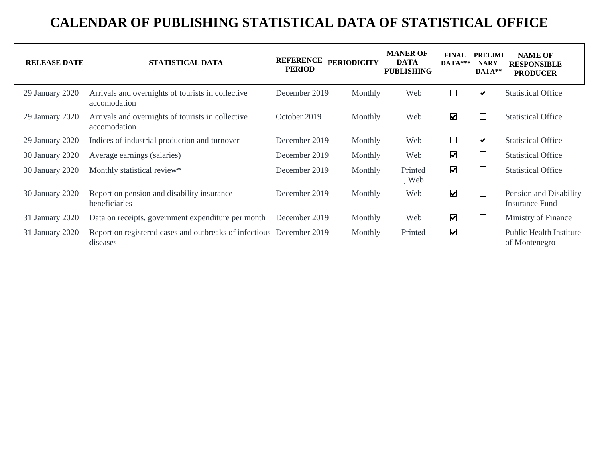| <b>RELEASE DATE</b> | STATISTICAL DATA                                                                 | <b>REFERENCE</b><br><b>PERIOD</b> | <b>PERIODICITY</b> | <b>MANER OF</b><br><b>DATA</b><br><b>PUBLISHING</b> | <b>FINAL</b><br>$DATA***$ | <b>PRELIMI</b><br><b>NARY</b><br>DATA** | <b>NAME OF</b><br><b>RESPONSIBLE</b><br><b>PRODUCER</b> |
|---------------------|----------------------------------------------------------------------------------|-----------------------------------|--------------------|-----------------------------------------------------|---------------------------|-----------------------------------------|---------------------------------------------------------|
| 29 January 2020     | Arrivals and overnights of tourists in collective<br>accomodation                | December 2019                     | Monthly            | Web                                                 |                           | $\blacktriangledown$                    | <b>Statistical Office</b>                               |
| 29 January 2020     | Arrivals and overnights of tourists in collective<br>accomodation                | October 2019                      | Monthly            | Web                                                 | $\blacktriangledown$      |                                         | <b>Statistical Office</b>                               |
| 29 January 2020     | Indices of industrial production and turnover                                    | December 2019                     | Monthly            | Web                                                 |                           | $\overline{\mathbf{v}}$                 | <b>Statistical Office</b>                               |
| 30 January 2020     | Average earnings (salaries)                                                      | December 2019                     | Monthly            | Web                                                 | $\blacktriangledown$      | L                                       | <b>Statistical Office</b>                               |
| 30 January 2020     | Monthly statistical review*                                                      | December 2019                     | Monthly            | Printed<br>, Web                                    | $\blacktriangledown$      | L                                       | <b>Statistical Office</b>                               |
| 30 January 2020     | Report on pension and disability insurance<br>beneficiaries                      | December 2019                     | Monthly            | Web                                                 | $\blacktriangledown$      |                                         | Pension and Disability<br>Insurance Fund                |
| 31 January 2020     | Data on receipts, government expenditure per month                               | December 2019                     | Monthly            | Web                                                 | $\overline{\mathbf{v}}$   | L                                       | Ministry of Finance                                     |
| 31 January 2020     | Report on registered cases and outbreaks of infectious December 2019<br>diseases |                                   | Monthly            | Printed                                             | $\blacktriangledown$      |                                         | <b>Public Health Institute</b><br>of Montenegro         |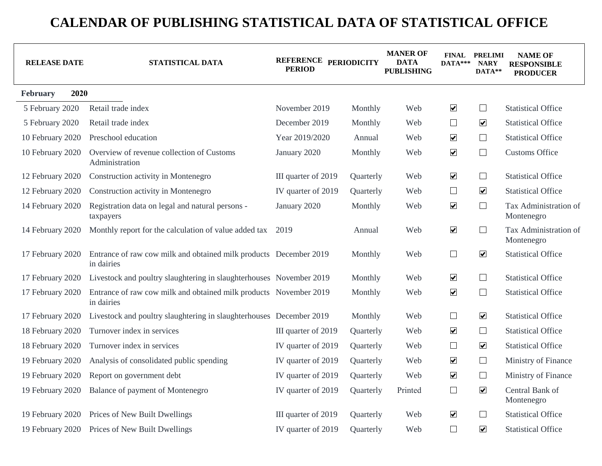| <b>RELEASE DATE</b> | STATISTICAL DATA                                                                | REFERENCE PERIODICITY<br><b>PERIOD</b> |           | <b>MANER OF</b><br>DATA<br><b>PUBLISHING</b> | DATA***                 | <b>FINAL PRELIMI</b><br><b>NARY</b><br>DATA** | <b>NAME OF</b><br><b>RESPONSIBLE</b><br><b>PRODUCER</b> |
|---------------------|---------------------------------------------------------------------------------|----------------------------------------|-----------|----------------------------------------------|-------------------------|-----------------------------------------------|---------------------------------------------------------|
| 2020<br>February    |                                                                                 |                                        |           |                                              |                         |                                               |                                                         |
| 5 February 2020     | Retail trade index                                                              | November 2019                          | Monthly   | Web                                          | $\blacktriangledown$    | $\Box$                                        | <b>Statistical Office</b>                               |
| 5 February 2020     | Retail trade index                                                              | December 2019                          | Monthly   | Web                                          | $\Box$                  | $\blacktriangledown$                          | <b>Statistical Office</b>                               |
| 10 February 2020    | Preschool education                                                             | Year 2019/2020                         | Annual    | Web                                          | $\blacktriangledown$    | $\Box$                                        | <b>Statistical Office</b>                               |
| 10 February 2020    | Overview of revenue collection of Customs<br>Administration                     | January 2020                           | Monthly   | Web                                          | $\blacktriangledown$    | $\Box$                                        | <b>Customs Office</b>                                   |
| 12 February 2020    | Construction activity in Montenegro                                             | III quarter of 2019                    | Quarterly | Web                                          | $\blacktriangledown$    | $\Box$                                        | <b>Statistical Office</b>                               |
| 12 February 2020    | Construction activity in Montenegro                                             | IV quarter of 2019                     | Quarterly | Web                                          | $\Box$                  | $\boxed{\blacktriangledown}$                  | <b>Statistical Office</b>                               |
| 14 February 2020    | Registration data on legal and natural persons -<br>taxpayers                   | January 2020                           | Monthly   | Web                                          | $\blacktriangledown$    | $\Box$                                        | Tax Administration of<br>Montenegro                     |
| 14 February 2020    | Monthly report for the calculation of value added tax                           | 2019                                   | Annual    | Web                                          | $\overline{\mathbf{v}}$ | $\Box$                                        | Tax Administration of<br>Montenegro                     |
| 17 February 2020    | Entrance of raw cow milk and obtained milk products December 2019<br>in dairies |                                        | Monthly   | Web                                          | $\Box$                  | $\blacktriangledown$                          | <b>Statistical Office</b>                               |
| 17 February 2020    | Livestock and poultry slaughtering in slaughterhouses November 2019             |                                        | Monthly   | Web                                          | $\blacktriangledown$    | $\Box$                                        | <b>Statistical Office</b>                               |
| 17 February 2020    | Entrance of raw cow milk and obtained milk products November 2019<br>in dairies |                                        | Monthly   | Web                                          | $\blacktriangledown$    | $\Box$                                        | <b>Statistical Office</b>                               |
| 17 February 2020    | Livestock and poultry slaughtering in slaughterhouses December 2019             |                                        | Monthly   | Web                                          | $\Box$                  | $\boxed{\blacktriangledown}$                  | <b>Statistical Office</b>                               |
| 18 February 2020    | Turnover index in services                                                      | III quarter of 2019                    | Quarterly | Web                                          | $\blacktriangledown$    | $\Box$                                        | <b>Statistical Office</b>                               |
| 18 February 2020    | Turnover index in services                                                      | IV quarter of 2019                     | Quarterly | Web                                          | $\Box$                  | $\overline{\mathbf{v}}$                       | <b>Statistical Office</b>                               |
| 19 February 2020    | Analysis of consolidated public spending                                        | IV quarter of 2019                     | Quarterly | Web                                          | $\blacktriangledown$    | $\Box$                                        | Ministry of Finance                                     |
| 19 February 2020    | Report on government debt                                                       | IV quarter of 2019                     | Quarterly | Web                                          | $\overline{\mathbf{v}}$ | $\Box$                                        | Ministry of Finance                                     |
| 19 February 2020    | Balance of payment of Montenegro                                                | IV quarter of 2019                     | Quarterly | Printed                                      | $\Box$                  | $\boxed{\blacktriangledown}$                  | Central Bank of<br>Montenegro                           |
| 19 February 2020    | Prices of New Built Dwellings                                                   | III quarter of 2019                    | Quarterly | Web                                          | $\blacktriangledown$    | $\Box$                                        | <b>Statistical Office</b>                               |
| 19 February 2020    | Prices of New Built Dwellings                                                   | IV quarter of 2019                     | Quarterly | Web                                          | $\Box$                  | $\boxed{\blacktriangledown}$                  | <b>Statistical Office</b>                               |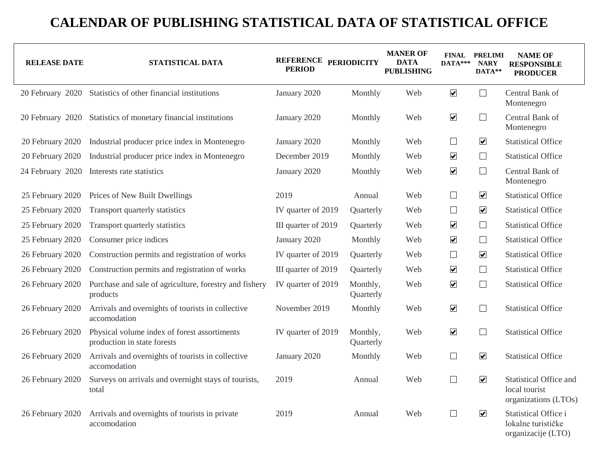| <b>RELEASE DATE</b> | STATISTICAL DATA                                                            | REFERENCE PERIODICITY<br><b>PERIOD</b> |                       | <b>MANER OF</b><br><b>DATA</b><br><b>PUBLISHING</b> | $DATA***$            | <b>FINAL PRELIMI</b><br><b>NARY</b><br>DATA** | <b>NAME OF</b><br><b>RESPONSIBLE</b><br><b>PRODUCER</b>                 |
|---------------------|-----------------------------------------------------------------------------|----------------------------------------|-----------------------|-----------------------------------------------------|----------------------|-----------------------------------------------|-------------------------------------------------------------------------|
| 20 February 2020    | Statistics of other financial institutions                                  | January 2020                           | Monthly               | Web                                                 | $\blacktriangledown$ | $\Box$                                        | Central Bank of<br>Montenegro                                           |
| 20 February 2020    | Statistics of monetary financial institutions                               | January 2020                           | Monthly               | Web                                                 | $\blacktriangledown$ | $\Box$                                        | Central Bank of<br>Montenegro                                           |
| 20 February 2020    | Industrial producer price index in Montenegro                               | January 2020                           | Monthly               | Web                                                 | $\Box$               | $\blacktriangledown$                          | <b>Statistical Office</b>                                               |
| 20 February 2020    | Industrial producer price index in Montenegro                               | December 2019                          | Monthly               | Web                                                 | $\blacktriangledown$ | $\Box$                                        | <b>Statistical Office</b>                                               |
| 24 February 2020    | Interests rate statistics                                                   | January 2020                           | Monthly               | Web                                                 | $\blacktriangledown$ | $\Box$                                        | Central Bank of<br>Montenegro                                           |
| 25 February 2020    | Prices of New Built Dwellings                                               | 2019                                   | Annual                | Web                                                 | $\Box$               | $\blacktriangledown$                          | <b>Statistical Office</b>                                               |
| 25 February 2020    | Transport quarterly statistics                                              | IV quarter of 2019                     | Quarterly             | Web                                                 | $\Box$               | $\overline{\mathbf{v}}$                       | <b>Statistical Office</b>                                               |
| 25 February 2020    | Transport quarterly statistics                                              | III quarter of 2019                    | Quarterly             | Web                                                 | $\blacktriangledown$ | $\Box$                                        | <b>Statistical Office</b>                                               |
| 25 February 2020    | Consumer price indices                                                      | January 2020                           | Monthly               | Web                                                 | $\blacktriangledown$ | $\Box$                                        | <b>Statistical Office</b>                                               |
| 26 February 2020    | Construction permits and registration of works                              | IV quarter of 2019                     | Quarterly             | Web                                                 | $\Box$               | $\blacktriangledown$                          | <b>Statistical Office</b>                                               |
| 26 February 2020    | Construction permits and registration of works                              | III quarter of 2019                    | Quarterly             | Web                                                 | $\blacktriangledown$ | $\Box$                                        | <b>Statistical Office</b>                                               |
| 26 February 2020    | Purchase and sale of agriculture, forestry and fishery<br>products          | IV quarter of 2019                     | Monthly,<br>Quarterly | Web                                                 | $\blacktriangledown$ | $\Box$                                        | <b>Statistical Office</b>                                               |
| 26 February 2020    | Arrivals and overnights of tourists in collective<br>accomodation           | November 2019                          | Monthly               | Web                                                 | $\blacktriangledown$ | $\Box$                                        | <b>Statistical Office</b>                                               |
| 26 February 2020    | Physical volume index of forest assortiments<br>production in state forests | IV quarter of 2019                     | Monthly,<br>Quarterly | Web                                                 | $\blacktriangledown$ | $\Box$                                        | <b>Statistical Office</b>                                               |
| 26 February 2020    | Arrivals and overnights of tourists in collective<br>accomodation           | January 2020                           | Monthly               | Web                                                 | $\Box$               | $\blacktriangledown$                          | <b>Statistical Office</b>                                               |
| 26 February 2020    | Surveys on arrivals and overnight stays of tourists,<br>total               | 2019                                   | Annual                | Web                                                 | $\Box$               | $\blacktriangledown$                          | <b>Statistical Office and</b><br>local tourist<br>organizations (LTOs)  |
| 26 February 2020    | Arrivals and overnights of tourists in private<br>accomodation              | 2019                                   | Annual                | Web                                                 | $\Box$               | $\overline{\mathbf{v}}$                       | <b>Statistical Office i</b><br>lokalne turističke<br>organizacije (LTO) |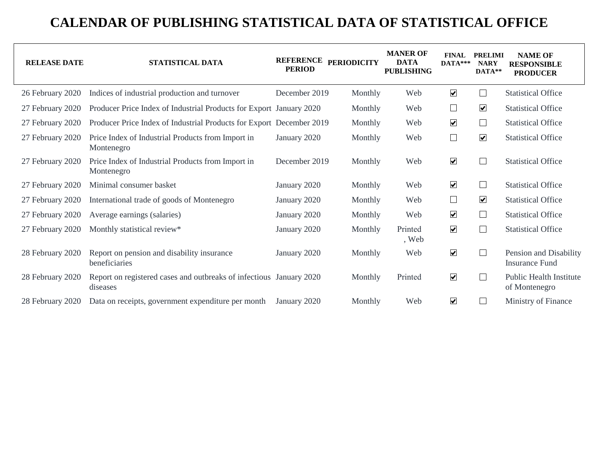| <b>RELEASE DATE</b> | <b>STATISTICAL DATA</b>                                                         | <b>REFERENCE</b><br><b>PERIOD</b> | <b>PERIODICITY</b> | <b>MANER OF</b><br><b>DATA</b><br><b>PUBLISHING</b> | <b>FINAL</b><br>$DATA***$ | <b>PRELIMI</b><br><b>NARY</b><br>DATA** | <b>NAME OF</b><br><b>RESPONSIBLE</b><br><b>PRODUCER</b> |
|---------------------|---------------------------------------------------------------------------------|-----------------------------------|--------------------|-----------------------------------------------------|---------------------------|-----------------------------------------|---------------------------------------------------------|
| 26 February 2020    | Indices of industrial production and turnover                                   | December 2019                     | Monthly            | Web                                                 | $\blacktriangledown$      | ப                                       | <b>Statistical Office</b>                               |
| 27 February 2020    | Producer Price Index of Industrial Products for Export January 2020             |                                   | Monthly            | Web                                                 | $\Box$                    | $\blacktriangledown$                    | <b>Statistical Office</b>                               |
| 27 February 2020    | Producer Price Index of Industrial Products for Export December 2019            |                                   | Monthly            | Web                                                 | $\blacktriangledown$      | $\Box$                                  | <b>Statistical Office</b>                               |
| 27 February 2020    | Price Index of Industrial Products from Import in<br>Montenegro                 | January 2020                      | Monthly            | Web                                                 | $\Box$                    | $\boxed{\blacktriangledown}$            | <b>Statistical Office</b>                               |
| 27 February 2020    | Price Index of Industrial Products from Import in<br>Montenegro                 | December 2019                     | Monthly            | Web                                                 | $\blacktriangledown$      | $\Box$                                  | <b>Statistical Office</b>                               |
| 27 February 2020    | Minimal consumer basket                                                         | January 2020                      | Monthly            | Web                                                 | $\blacktriangledown$      | ப                                       | <b>Statistical Office</b>                               |
| 27 February 2020    | International trade of goods of Montenegro                                      | January 2020                      | Monthly            | Web                                                 | $\Box$                    | $\boxed{\blacktriangledown}$            | <b>Statistical Office</b>                               |
| 27 February 2020    | Average earnings (salaries)                                                     | January 2020                      | Monthly            | Web                                                 | $\blacktriangledown$      | $\Box$                                  | <b>Statistical Office</b>                               |
| 27 February 2020    | Monthly statistical review*                                                     | January 2020                      | Monthly            | Printed<br>, Web                                    | $\overline{\mathbf{v}}$   | $\Box$                                  | <b>Statistical Office</b>                               |
| 28 February 2020    | Report on pension and disability insurance<br>beneficiaries                     | January 2020                      | Monthly            | Web                                                 | $\blacktriangledown$      | ப                                       | Pension and Disability<br><b>Insurance Fund</b>         |
| 28 February 2020    | Report on registered cases and outbreaks of infectious January 2020<br>diseases |                                   | Monthly            | Printed                                             | $\blacktriangledown$      | $\Box$                                  | <b>Public Health Institute</b><br>of Montenegro         |
| 28 February 2020    | Data on receipts, government expenditure per month                              | January 2020                      | Monthly            | Web                                                 | $\blacktriangledown$      |                                         | Ministry of Finance                                     |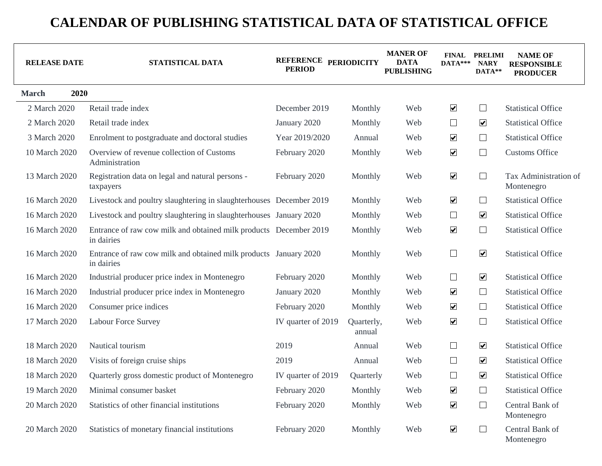| <b>RELEASE DATE</b>  | STATISTICAL DATA                                                                | REFERENCE PERIODICITY<br><b>PERIOD</b> |                      | <b>MANER OF</b><br><b>DATA</b><br><b>PUBLISHING</b> | $DATA***$               | <b>FINAL PRELIMI</b><br><b>NARY</b><br>DATA** | <b>NAME OF</b><br><b>RESPONSIBLE</b><br><b>PRODUCER</b> |
|----------------------|---------------------------------------------------------------------------------|----------------------------------------|----------------------|-----------------------------------------------------|-------------------------|-----------------------------------------------|---------------------------------------------------------|
| 2020<br><b>March</b> |                                                                                 |                                        |                      |                                                     |                         |                                               |                                                         |
| 2 March 2020         | Retail trade index                                                              | December 2019                          | Monthly              | Web                                                 | $\blacktriangledown$    | $\Box$                                        | <b>Statistical Office</b>                               |
| 2 March 2020         | Retail trade index                                                              | January 2020                           | Monthly              | Web                                                 | $\Box$                  | $\blacktriangledown$                          | <b>Statistical Office</b>                               |
| 3 March 2020         | Enrolment to postgraduate and doctoral studies                                  | Year 2019/2020                         | Annual               | Web                                                 | $\blacktriangledown$    | $\Box$                                        | <b>Statistical Office</b>                               |
| 10 March 2020        | Overview of revenue collection of Customs<br>Administration                     | February 2020                          | Monthly              | Web                                                 | $\blacktriangledown$    | $\Box$                                        | <b>Customs Office</b>                                   |
| 13 March 2020        | Registration data on legal and natural persons -<br>taxpayers                   | February 2020                          | Monthly              | Web                                                 | $\blacktriangledown$    | $\Box$                                        | Tax Administration of<br>Montenegro                     |
| 16 March 2020        | Livestock and poultry slaughtering in slaughterhouses December 2019             |                                        | Monthly              | Web                                                 | $\overline{\mathbf{v}}$ | $\Box$                                        | <b>Statistical Office</b>                               |
| 16 March 2020        | Livestock and poultry slaughtering in slaughterhouses January 2020              |                                        | Monthly              | Web                                                 | $\Box$                  | $\blacktriangledown$                          | <b>Statistical Office</b>                               |
| 16 March 2020        | Entrance of raw cow milk and obtained milk products December 2019<br>in dairies |                                        | Monthly              | Web                                                 | $\overline{\mathbf{v}}$ | $\Box$                                        | <b>Statistical Office</b>                               |
| 16 March 2020        | Entrance of raw cow milk and obtained milk products January 2020<br>in dairies  |                                        | Monthly              | Web                                                 | $\Box$                  | $\blacktriangledown$                          | <b>Statistical Office</b>                               |
| 16 March 2020        | Industrial producer price index in Montenegro                                   | February 2020                          | Monthly              | Web                                                 | $\Box$                  | $\blacktriangledown$                          | <b>Statistical Office</b>                               |
| 16 March 2020        | Industrial producer price index in Montenegro                                   | January 2020                           | Monthly              | Web                                                 | $\overline{\mathbf{v}}$ | $\Box$                                        | <b>Statistical Office</b>                               |
| 16 March 2020        | Consumer price indices                                                          | February 2020                          | Monthly              | Web                                                 | $\blacktriangledown$    | $\Box$                                        | <b>Statistical Office</b>                               |
| 17 March 2020        | Labour Force Survey                                                             | IV quarter of 2019                     | Quarterly,<br>annual | Web                                                 | $\blacktriangledown$    | $\Box$                                        | <b>Statistical Office</b>                               |
| 18 March 2020        | Nautical tourism                                                                | 2019                                   | Annual               | Web                                                 | $\Box$                  | $\overline{\mathbf{v}}$                       | <b>Statistical Office</b>                               |
| 18 March 2020        | Visits of foreign cruise ships                                                  | 2019                                   | Annual               | Web                                                 | $\Box$                  | $\blacktriangledown$                          | <b>Statistical Office</b>                               |
| 18 March 2020        | Quarterly gross domestic product of Montenegro                                  | IV quarter of 2019                     | Quarterly            | Web                                                 | $\Box$                  | $\boxed{\blacktriangledown}$                  | <b>Statistical Office</b>                               |
| 19 March 2020        | Minimal consumer basket                                                         | February 2020                          | Monthly              | Web                                                 | $\blacktriangledown$    | $\sqcup$                                      | <b>Statistical Office</b>                               |
| 20 March 2020        | Statistics of other financial institutions                                      | February 2020                          | Monthly              | Web                                                 | $\blacktriangledown$    | $\Box$                                        | Central Bank of<br>Montenegro                           |
| 20 March 2020        | Statistics of monetary financial institutions                                   | February 2020                          | Monthly              | Web                                                 | $\blacktriangledown$    | $\Box$                                        | Central Bank of<br>Montenegro                           |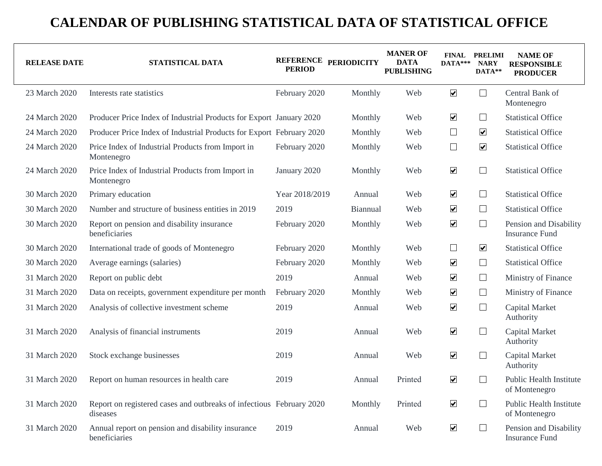| <b>RELEASE DATE</b> | STATISTICAL DATA                                                                 | <b>PERIOD</b>  | REFERENCE PERIODICITY | <b>MANER OF</b><br><b>DATA</b><br><b>PUBLISHING</b> | DATA***                      | <b>FINAL PRELIMI</b><br><b>NARY</b><br>DATA** | <b>NAME OF</b><br><b>RESPONSIBLE</b><br><b>PRODUCER</b> |
|---------------------|----------------------------------------------------------------------------------|----------------|-----------------------|-----------------------------------------------------|------------------------------|-----------------------------------------------|---------------------------------------------------------|
| 23 March 2020       | Interests rate statistics                                                        | February 2020  | Monthly               | Web                                                 | $\blacktriangledown$         | $\Box$                                        | Central Bank of<br>Montenegro                           |
| 24 March 2020       | Producer Price Index of Industrial Products for Export January 2020              |                | Monthly               | Web                                                 | $\overline{\mathbf{v}}$      | $\Box$                                        | <b>Statistical Office</b>                               |
| 24 March 2020       | Producer Price Index of Industrial Products for Export February 2020             |                | Monthly               | Web                                                 | $\Box$                       | $\blacktriangledown$                          | <b>Statistical Office</b>                               |
| 24 March 2020       | Price Index of Industrial Products from Import in<br>Montenegro                  | February 2020  | Monthly               | Web                                                 | $\Box$                       | $\blacktriangledown$                          | <b>Statistical Office</b>                               |
| 24 March 2020       | Price Index of Industrial Products from Import in<br>Montenegro                  | January 2020   | Monthly               | Web                                                 | $\overline{\mathbf{v}}$      | $\sqcup$                                      | <b>Statistical Office</b>                               |
| 30 March 2020       | Primary education                                                                | Year 2018/2019 | Annual                | Web                                                 | $\blacktriangledown$         | ⊔                                             | <b>Statistical Office</b>                               |
| 30 March 2020       | Number and structure of business entities in 2019                                | 2019           | Biannual              | Web                                                 | $\blacktriangledown$         | ⊔                                             | <b>Statistical Office</b>                               |
| 30 March 2020       | Report on pension and disability insurance<br>beneficiaries                      | February 2020  | Monthly               | Web                                                 | $\blacktriangledown$         | ⊔                                             | Pension and Disability<br><b>Insurance Fund</b>         |
| 30 March 2020       | International trade of goods of Montenegro                                       | February 2020  | Monthly               | Web                                                 | $\Box$                       | $\overline{\mathbf{v}}$                       | <b>Statistical Office</b>                               |
| 30 March 2020       | Average earnings (salaries)                                                      | February 2020  | Monthly               | Web                                                 | $\overline{\mathbf{v}}$      | $\Box$                                        | <b>Statistical Office</b>                               |
| 31 March 2020       | Report on public debt                                                            | 2019           | Annual                | Web                                                 | $\boxed{\blacktriangledown}$ | $\Box$                                        | Ministry of Finance                                     |
| 31 March 2020       | Data on receipts, government expenditure per month                               | February 2020  | Monthly               | Web                                                 | $\boxed{\blacktriangledown}$ | $\Box$                                        | Ministry of Finance                                     |
| 31 March 2020       | Analysis of collective investment scheme                                         | 2019           | Annual                | Web                                                 | $\overline{\mathbf{v}}$      | $\Box$                                        | Capital Market<br>Authority                             |
| 31 March 2020       | Analysis of financial instruments                                                | 2019           | Annual                | Web                                                 | $\overline{\mathbf{v}}$      | $\Box$                                        | <b>Capital Market</b><br>Authority                      |
| 31 March 2020       | Stock exchange businesses                                                        | 2019           | Annual                | Web                                                 | $\blacktriangledown$         | $\Box$                                        | Capital Market<br>Authority                             |
| 31 March 2020       | Report on human resources in health care                                         | 2019           | Annual                | Printed                                             | $\overline{\mathbf{v}}$      |                                               | <b>Public Health Institute</b><br>of Montenegro         |
| 31 March 2020       | Report on registered cases and outbreaks of infectious February 2020<br>diseases |                | Monthly               | Printed                                             | $\blacktriangledown$         | └                                             | <b>Public Health Institute</b><br>of Montenegro         |
| 31 March 2020       | Annual report on pension and disability insurance<br>beneficiaries               | 2019           | Annual                | Web                                                 | $\blacktriangledown$         | $\Box$                                        | Pension and Disability<br><b>Insurance Fund</b>         |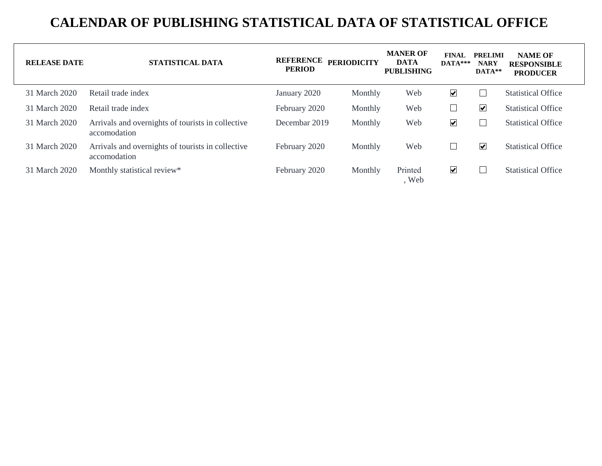| <b>RELEASE DATE</b> | <b>STATISTICAL DATA</b>                                           | <b>REFERENCE</b><br><b>PERIOD</b> | <b>PERIODICITY</b> | <b>MANER OF</b><br><b>DATA</b><br><b>PUBLISHING</b> | <b>FINAL</b><br>$DATA***$ | <b>PRELIMI</b><br><b>NARY</b><br>$DATA**$ | <b>NAME OF</b><br><b>RESPONSIBLE</b><br><b>PRODUCER</b> |
|---------------------|-------------------------------------------------------------------|-----------------------------------|--------------------|-----------------------------------------------------|---------------------------|-------------------------------------------|---------------------------------------------------------|
| 31 March 2020       | Retail trade index                                                | January 2020                      | Monthly            | Web                                                 | $\blacktriangledown$      | ⊔                                         | <b>Statistical Office</b>                               |
| 31 March 2020       | Retail trade index                                                | February 2020                     | Monthly            | Web                                                 | L                         | ☑                                         | <b>Statistical Office</b>                               |
| 31 March 2020       | Arrivals and overnights of tourists in collective<br>accomodation | Decembar 2019                     | Monthly            | Web                                                 | $\blacktriangledown$      |                                           | <b>Statistical Office</b>                               |
| 31 March 2020       | Arrivals and overnights of tourists in collective<br>accomodation | February 2020                     | Monthly            | Web                                                 | $\Box$                    | $\overline{\mathbf{v}}$                   | <b>Statistical Office</b>                               |
| 31 March 2020       | Monthly statistical review*                                       | February 2020                     | Monthly            | Printed<br>, Web                                    | $\blacktriangleright$     | $\overline{\phantom{a}}$                  | <b>Statistical Office</b>                               |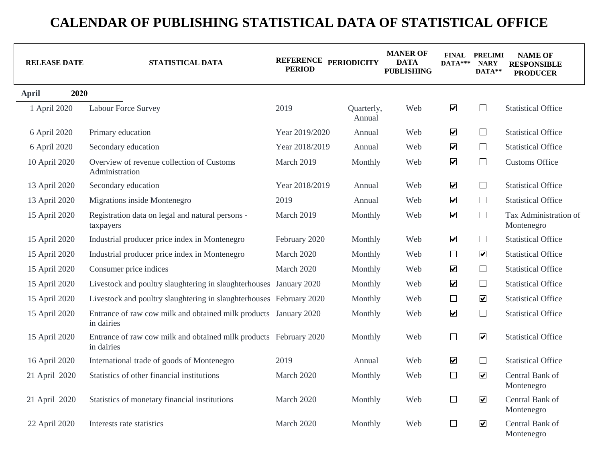| <b>RELEASE DATE</b> | STATISTICAL DATA                                                                | REFERENCE PERIODICITY<br><b>PERIOD</b> |                      | <b>MANER OF</b><br><b>DATA</b><br><b>PUBLISHING</b> | $DATA***$            | <b>FINAL PRELIMI</b><br><b>NARY</b><br>DATA** | <b>NAME OF</b><br><b>RESPONSIBLE</b><br><b>PRODUCER</b> |
|---------------------|---------------------------------------------------------------------------------|----------------------------------------|----------------------|-----------------------------------------------------|----------------------|-----------------------------------------------|---------------------------------------------------------|
| <b>April</b>        | 2020                                                                            |                                        |                      |                                                     |                      |                                               |                                                         |
| 1 April 2020        | <b>Labour Force Survey</b>                                                      | 2019                                   | Quarterly,<br>Annual | Web                                                 | $\blacktriangledown$ | $\Box$                                        | <b>Statistical Office</b>                               |
| 6 April 2020        | Primary education                                                               | Year 2019/2020                         | Annual               | Web                                                 | $\blacktriangledown$ | $\Box$                                        | <b>Statistical Office</b>                               |
| 6 April 2020        | Secondary education                                                             | Year 2018/2019                         | Annual               | Web                                                 | $\blacktriangledown$ | $\Box$                                        | <b>Statistical Office</b>                               |
| 10 April 2020       | Overview of revenue collection of Customs<br>Administration                     | March 2019                             | Monthly              | Web                                                 | $\blacktriangledown$ | $\Box$                                        | <b>Customs Office</b>                                   |
| 13 April 2020       | Secondary education                                                             | Year 2018/2019                         | Annual               | Web                                                 | $\blacktriangledown$ | $\Box$                                        | <b>Statistical Office</b>                               |
| 13 April 2020       | Migrations inside Montenegro                                                    | 2019                                   | Annual               | Web                                                 | $\blacktriangledown$ | $\Box$                                        | <b>Statistical Office</b>                               |
| 15 April 2020       | Registration data on legal and natural persons -<br>taxpayers                   | March 2019                             | Monthly              | Web                                                 | $\blacktriangledown$ | $\Box$                                        | Tax Administration of<br>Montenegro                     |
| 15 April 2020       | Industrial producer price index in Montenegro                                   | February 2020                          | Monthly              | Web                                                 | $\blacktriangledown$ | $\Box$                                        | <b>Statistical Office</b>                               |
| 15 April 2020       | Industrial producer price index in Montenegro                                   | March 2020                             | Monthly              | Web                                                 | $\Box$               | $\overline{\mathbf{v}}$                       | <b>Statistical Office</b>                               |
| 15 April 2020       | Consumer price indices                                                          | March 2020                             | Monthly              | Web                                                 | $\blacktriangledown$ | $\Box$                                        | <b>Statistical Office</b>                               |
| 15 April 2020       | Livestock and poultry slaughtering in slaughterhouses January 2020              |                                        | Monthly              | Web                                                 | $\blacktriangledown$ | $\Box$                                        | <b>Statistical Office</b>                               |
| 15 April 2020       | Livestock and poultry slaughtering in slaughterhouses February 2020             |                                        | Monthly              | Web                                                 | $\Box$               | $\boxed{\blacktriangledown}$                  | <b>Statistical Office</b>                               |
| 15 April 2020       | Entrance of raw cow milk and obtained milk products January 2020<br>in dairies  |                                        | Monthly              | Web                                                 | $\blacktriangledown$ | $\Box$                                        | <b>Statistical Office</b>                               |
| 15 April 2020       | Entrance of raw cow milk and obtained milk products February 2020<br>in dairies |                                        | Monthly              | Web                                                 | $\Box$               | $\overline{\mathbf{v}}$                       | <b>Statistical Office</b>                               |
| 16 April 2020       | International trade of goods of Montenegro                                      | 2019                                   | Annual               | Web                                                 | $\blacktriangledown$ | $\Box$                                        | <b>Statistical Office</b>                               |
| 21 April 2020       | Statistics of other financial institutions                                      | March 2020                             | Monthly              | Web                                                 | $\Box$               | $\boxed{\blacktriangledown}$                  | Central Bank of<br>Montenegro                           |
| 21 April 2020       | Statistics of monetary financial institutions                                   | March 2020                             | Monthly              | Web                                                 | $\Box$               | $\boxed{\blacktriangledown}$                  | Central Bank of<br>Montenegro                           |
| 22 April 2020       | Interests rate statistics                                                       | March 2020                             | Monthly              | Web                                                 | $\Box$               | $\overline{\mathbf{v}}$                       | Central Bank of<br>Montenegro                           |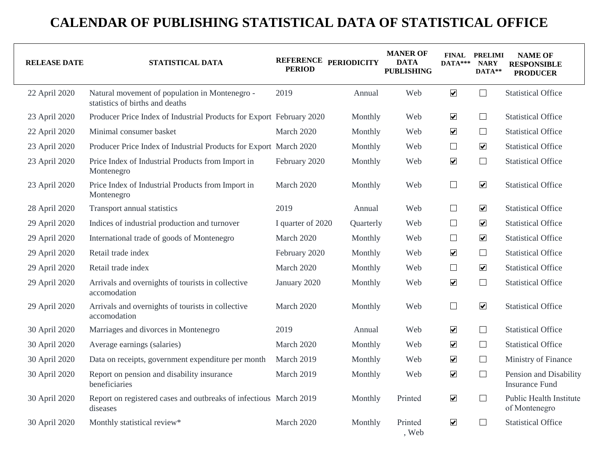| <b>RELEASE DATE</b> | STATISTICAL DATA                                                                  | <b>PERIOD</b>     | REFERENCE PERIODICITY | <b>MANER OF</b><br><b>DATA</b><br><b>PUBLISHING</b> | $DATA***$               | <b>FINAL PRELIMI</b><br><b>NARY</b><br>DATA** | <b>NAME OF</b><br><b>RESPONSIBLE</b><br><b>PRODUCER</b> |
|---------------------|-----------------------------------------------------------------------------------|-------------------|-----------------------|-----------------------------------------------------|-------------------------|-----------------------------------------------|---------------------------------------------------------|
| 22 April 2020       | Natural movement of population in Montenegro -<br>statistics of births and deaths | 2019              | Annual                | Web                                                 | $\blacktriangledown$    | $\Box$                                        | <b>Statistical Office</b>                               |
| 23 April 2020       | Producer Price Index of Industrial Products for Export February 2020              |                   | Monthly               | Web                                                 | $\blacktriangledown$    | $\Box$                                        | <b>Statistical Office</b>                               |
| 22 April 2020       | Minimal consumer basket                                                           | March 2020        | Monthly               | Web                                                 | $\blacktriangledown$    | $\Box$                                        | <b>Statistical Office</b>                               |
| 23 April 2020       | Producer Price Index of Industrial Products for Export March 2020                 |                   | Monthly               | Web                                                 | $\Box$                  | $\boxed{\blacktriangledown}$                  | <b>Statistical Office</b>                               |
| 23 April 2020       | Price Index of Industrial Products from Import in<br>Montenegro                   | February 2020     | Monthly               | Web                                                 | $\blacktriangledown$    | $\Box$                                        | <b>Statistical Office</b>                               |
| 23 April 2020       | Price Index of Industrial Products from Import in<br>Montenegro                   | March 2020        | Monthly               | Web                                                 | $\Box$                  | $\overline{\mathbf{v}}$                       | <b>Statistical Office</b>                               |
| 28 April 2020       | Transport annual statistics                                                       | 2019              | Annual                | Web                                                 | $\Box$                  | $\overline{\mathbf{v}}$                       | <b>Statistical Office</b>                               |
| 29 April 2020       | Indices of industrial production and turnover                                     | I quarter of 2020 | Quarterly             | Web                                                 | $\Box$                  | $\overline{\mathbf{v}}$                       | <b>Statistical Office</b>                               |
| 29 April 2020       | International trade of goods of Montenegro                                        | March 2020        | Monthly               | Web                                                 | $\Box$                  | $\blacktriangledown$                          | <b>Statistical Office</b>                               |
| 29 April 2020       | Retail trade index                                                                | February 2020     | Monthly               | Web                                                 | $\blacktriangledown$    | $\Box$                                        | <b>Statistical Office</b>                               |
| 29 April 2020       | Retail trade index                                                                | March 2020        | Monthly               | Web                                                 | $\Box$                  | $\blacktriangledown$                          | <b>Statistical Office</b>                               |
| 29 April 2020       | Arrivals and overnights of tourists in collective<br>accomodation                 | January 2020      | Monthly               | Web                                                 | $\blacktriangledown$    | $\Box$                                        | <b>Statistical Office</b>                               |
| 29 April 2020       | Arrivals and overnights of tourists in collective<br>accomodation                 | March 2020        | Monthly               | Web                                                 | $\Box$                  | $\boxed{\blacktriangledown}$                  | <b>Statistical Office</b>                               |
| 30 April 2020       | Marriages and divorces in Montenegro                                              | 2019              | Annual                | Web                                                 | $\blacktriangledown$    | $\Box$                                        | <b>Statistical Office</b>                               |
| 30 April 2020       | Average earnings (salaries)                                                       | March 2020        | Monthly               | Web                                                 | $\blacktriangledown$    | $\Box$                                        | <b>Statistical Office</b>                               |
| 30 April 2020       | Data on receipts, government expenditure per month                                | March 2019        | Monthly               | Web                                                 | $\blacktriangledown$    | $\Box$                                        | Ministry of Finance                                     |
| 30 April 2020       | Report on pension and disability insurance<br>beneficiaries                       | March 2019        | Monthly               | Web                                                 | $\blacktriangledown$    | $\Box$                                        | Pension and Disability<br><b>Insurance Fund</b>         |
| 30 April 2020       | Report on registered cases and outbreaks of infectious March 2019<br>diseases     |                   | Monthly               | Printed                                             | $\blacktriangledown$    | $\Box$                                        | <b>Public Health Institute</b><br>of Montenegro         |
| 30 April 2020       | Monthly statistical review*                                                       | March 2020        | Monthly               | Printed<br>, Web                                    | $\overline{\mathbf{v}}$ | ⊔                                             | <b>Statistical Office</b>                               |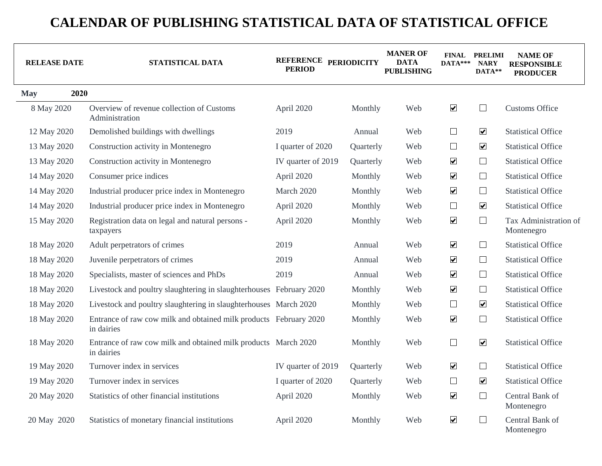| <b>RELEASE DATE</b> | STATISTICAL DATA                                                                | REFERENCE PERIODICITY<br><b>PERIOD</b> |           | <b>MANER OF</b><br><b>DATA</b><br><b>PUBLISHING</b> | $DATA***$            | <b>FINAL PRELIMI</b><br><b>NARY</b><br>DATA** | <b>NAME OF</b><br><b>RESPONSIBLE</b><br><b>PRODUCER</b> |
|---------------------|---------------------------------------------------------------------------------|----------------------------------------|-----------|-----------------------------------------------------|----------------------|-----------------------------------------------|---------------------------------------------------------|
| 2020<br><b>May</b>  |                                                                                 |                                        |           |                                                     |                      |                                               |                                                         |
| 8 May 2020          | Overview of revenue collection of Customs<br>Administration                     | April 2020                             | Monthly   | Web                                                 | $\blacktriangledown$ | $\Box$                                        | <b>Customs Office</b>                                   |
| 12 May 2020         | Demolished buildings with dwellings                                             | 2019                                   | Annual    | Web                                                 | $\Box$               | $\boxed{\blacktriangledown}$                  | <b>Statistical Office</b>                               |
| 13 May 2020         | Construction activity in Montenegro                                             | I quarter of 2020                      | Quarterly | Web                                                 | $\Box$               | $\overline{\mathbf{v}}$                       | <b>Statistical Office</b>                               |
| 13 May 2020         | Construction activity in Montenegro                                             | IV quarter of 2019                     | Quarterly | Web                                                 | $\blacktriangledown$ | $\Box$                                        | <b>Statistical Office</b>                               |
| 14 May 2020         | Consumer price indices                                                          | April 2020                             | Monthly   | Web                                                 | $\blacktriangledown$ | $\Box$                                        | <b>Statistical Office</b>                               |
| 14 May 2020         | Industrial producer price index in Montenegro                                   | March 2020                             | Monthly   | Web                                                 | $\blacktriangledown$ | $\Box$                                        | <b>Statistical Office</b>                               |
| 14 May 2020         | Industrial producer price index in Montenegro                                   | April 2020                             | Monthly   | Web                                                 | $\Box$               | $\overline{\mathbf{v}}$                       | <b>Statistical Office</b>                               |
| 15 May 2020         | Registration data on legal and natural persons -<br>taxpayers                   | April 2020                             | Monthly   | Web                                                 | $\blacktriangledown$ | $\Box$                                        | Tax Administration of<br>Montenegro                     |
| 18 May 2020         | Adult perpetrators of crimes                                                    | 2019                                   | Annual    | Web                                                 | $\blacktriangledown$ | $\Box$                                        | <b>Statistical Office</b>                               |
| 18 May 2020         | Juvenile perpetrators of crimes                                                 | 2019                                   | Annual    | Web                                                 | $\blacktriangledown$ | $\Box$                                        | <b>Statistical Office</b>                               |
| 18 May 2020         | Specialists, master of sciences and PhDs                                        | 2019                                   | Annual    | Web                                                 | $\blacktriangledown$ | $\Box$                                        | <b>Statistical Office</b>                               |
| 18 May 2020         | Livestock and poultry slaughtering in slaughterhouses February 2020             |                                        | Monthly   | Web                                                 | $\blacktriangledown$ | $\Box$                                        | <b>Statistical Office</b>                               |
| 18 May 2020         | Livestock and poultry slaughtering in slaughterhouses March 2020                |                                        | Monthly   | Web                                                 | $\Box$               | $\blacktriangledown$                          | <b>Statistical Office</b>                               |
| 18 May 2020         | Entrance of raw cow milk and obtained milk products February 2020<br>in dairies |                                        | Monthly   | Web                                                 | $\blacktriangledown$ | $\Box$                                        | <b>Statistical Office</b>                               |
| 18 May 2020         | Entrance of raw cow milk and obtained milk products March 2020<br>in dairies    |                                        | Monthly   | Web                                                 | $\Box$               | $\overline{\mathbf{v}}$                       | <b>Statistical Office</b>                               |
| 19 May 2020         | Turnover index in services                                                      | IV quarter of 2019                     | Quarterly | Web                                                 | $\blacktriangledown$ | $\Box$                                        | <b>Statistical Office</b>                               |
| 19 May 2020         | Turnover index in services                                                      | I quarter of 2020                      | Quarterly | Web                                                 | $\Box$               | $\blacktriangledown$                          | <b>Statistical Office</b>                               |
| 20 May 2020         | Statistics of other financial institutions                                      | April 2020                             | Monthly   | Web                                                 | $\blacktriangledown$ | $\Box$                                        | Central Bank of<br>Montenegro                           |
| 20 May 2020         | Statistics of monetary financial institutions                                   | April 2020                             | Monthly   | Web                                                 | $\blacktriangledown$ | $\Box$                                        | Central Bank of<br>Montenegro                           |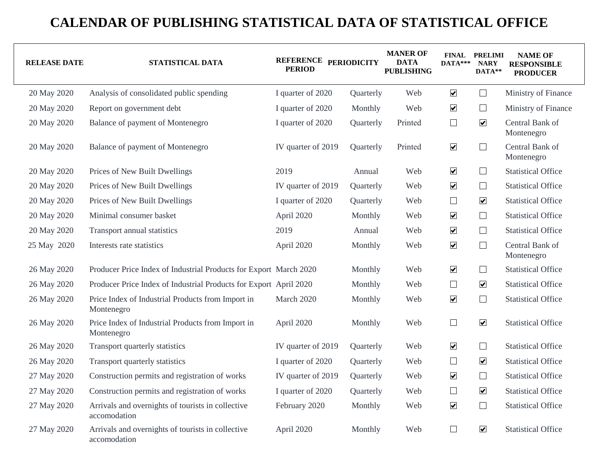| <b>RELEASE DATE</b> | STATISTICAL DATA                                                  | REFERENCE PERIODICITY<br><b>PERIOD</b> |           | <b>MANER OF</b><br><b>DATA</b><br><b>PUBLISHING</b> | $DATA***$               | <b>FINAL PRELIMI</b><br><b>NARY</b><br>DATA** | <b>NAME OF</b><br><b>RESPONSIBLE</b><br><b>PRODUCER</b> |
|---------------------|-------------------------------------------------------------------|----------------------------------------|-----------|-----------------------------------------------------|-------------------------|-----------------------------------------------|---------------------------------------------------------|
| 20 May 2020         | Analysis of consolidated public spending                          | I quarter of 2020                      | Quarterly | Web                                                 | $\blacktriangledown$    | $\Box$                                        | Ministry of Finance                                     |
| 20 May 2020         | Report on government debt                                         | I quarter of 2020                      | Monthly   | Web                                                 | $\blacktriangledown$    | $\Box$                                        | Ministry of Finance                                     |
| 20 May 2020         | Balance of payment of Montenegro                                  | I quarter of 2020                      | Quarterly | Printed                                             | $\Box$                  | $\blacktriangledown$                          | Central Bank of<br>Montenegro                           |
| 20 May 2020         | Balance of payment of Montenegro                                  | IV quarter of 2019                     | Quarterly | Printed                                             | $\blacktriangledown$    | $\Box$                                        | Central Bank of<br>Montenegro                           |
| 20 May 2020         | Prices of New Built Dwellings                                     | 2019                                   | Annual    | Web                                                 | $\blacktriangledown$    | $\Box$                                        | <b>Statistical Office</b>                               |
| 20 May 2020         | Prices of New Built Dwellings                                     | IV quarter of 2019                     | Quarterly | Web                                                 | $\blacktriangledown$    | $\Box$                                        | <b>Statistical Office</b>                               |
| 20 May 2020         | Prices of New Built Dwellings                                     | I quarter of 2020                      | Quarterly | Web                                                 | $\Box$                  | $\boxed{\blacktriangledown}$                  | <b>Statistical Office</b>                               |
| 20 May 2020         | Minimal consumer basket                                           | April 2020                             | Monthly   | Web                                                 | $\blacktriangledown$    | $\Box$                                        | <b>Statistical Office</b>                               |
| 20 May 2020         | Transport annual statistics                                       | 2019                                   | Annual    | Web                                                 | $\blacktriangledown$    | $\Box$                                        | <b>Statistical Office</b>                               |
| 25 May 2020         | Interests rate statistics                                         | April 2020                             | Monthly   | Web                                                 | $\blacktriangledown$    | $\Box$                                        | Central Bank of<br>Montenegro                           |
| 26 May 2020         | Producer Price Index of Industrial Products for Export March 2020 |                                        | Monthly   | Web                                                 | $\blacktriangledown$    | $\Box$                                        | <b>Statistical Office</b>                               |
| 26 May 2020         | Producer Price Index of Industrial Products for Export April 2020 |                                        | Monthly   | Web                                                 | $\Box$                  | $\overline{\mathbf{v}}$                       | <b>Statistical Office</b>                               |
| 26 May 2020         | Price Index of Industrial Products from Import in<br>Montenegro   | March 2020                             | Monthly   | Web                                                 | $\overline{\mathbf{v}}$ | $\Box$                                        | <b>Statistical Office</b>                               |
| 26 May 2020         | Price Index of Industrial Products from Import in<br>Montenegro   | April 2020                             | Monthly   | Web                                                 | $\Box$                  | $\overline{\mathbf{v}}$                       | <b>Statistical Office</b>                               |
| 26 May 2020         | Transport quarterly statistics                                    | IV quarter of 2019                     | Quarterly | Web                                                 | $\blacktriangledown$    | $\Box$                                        | <b>Statistical Office</b>                               |
| 26 May 2020         | Transport quarterly statistics                                    | I quarter of 2020                      | Quarterly | Web                                                 | $\Box$                  | $\boxed{\blacktriangledown}$                  | <b>Statistical Office</b>                               |
| 27 May 2020         | Construction permits and registration of works                    | IV quarter of 2019                     | Quarterly | Web                                                 | $\blacktriangledown$    | $\Box$                                        | <b>Statistical Office</b>                               |
| 27 May 2020         | Construction permits and registration of works                    | I quarter of 2020                      | Quarterly | Web                                                 | $\Box$                  | $\boxed{\blacktriangledown}$                  | <b>Statistical Office</b>                               |
| 27 May 2020         | Arrivals and overnights of tourists in collective<br>accomodation | February 2020                          | Monthly   | Web                                                 | $\overline{\mathbf{v}}$ | $\Box$                                        | <b>Statistical Office</b>                               |
| 27 May 2020         | Arrivals and overnights of tourists in collective<br>accomodation | April 2020                             | Monthly   | Web                                                 | $\Box$                  | $\boxed{\blacktriangledown}$                  | <b>Statistical Office</b>                               |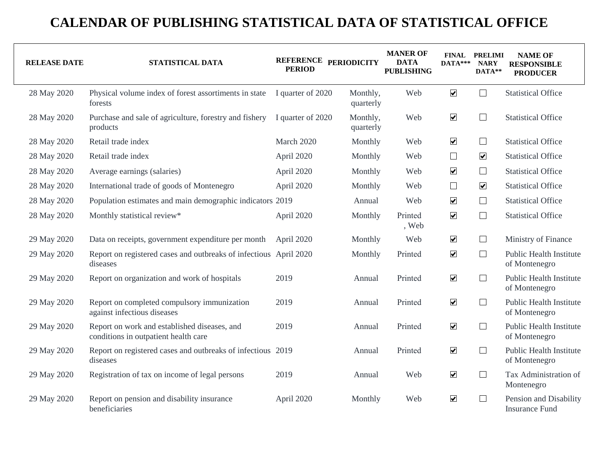| <b>RELEASE DATE</b> | STATISTICAL DATA                                                                     | REFERENCE PERIODICITY<br><b>PERIOD</b> |                       | <b>MANER OF</b><br><b>DATA</b><br><b>PUBLISHING</b> | $DATA***$               | <b>FINAL PRELIMI</b><br><b>NARY</b><br>DATA** | <b>NAME OF</b><br><b>RESPONSIBLE</b><br><b>PRODUCER</b> |
|---------------------|--------------------------------------------------------------------------------------|----------------------------------------|-----------------------|-----------------------------------------------------|-------------------------|-----------------------------------------------|---------------------------------------------------------|
| 28 May 2020         | Physical volume index of forest assortiments in state<br>forests                     | I quarter of 2020                      | Monthly,<br>quarterly | Web                                                 | $\blacktriangledown$    | $\Box$                                        | <b>Statistical Office</b>                               |
| 28 May 2020         | Purchase and sale of agriculture, forestry and fishery<br>products                   | I quarter of 2020                      | Monthly,<br>quarterly | Web                                                 | $\blacktriangledown$    | $\Box$                                        | <b>Statistical Office</b>                               |
| 28 May 2020         | Retail trade index                                                                   | March 2020                             | Monthly               | Web                                                 | $\blacktriangledown$    | $\Box$                                        | <b>Statistical Office</b>                               |
| 28 May 2020         | Retail trade index                                                                   | April 2020                             | Monthly               | Web                                                 | $\Box$                  | $\overline{\mathbf{v}}$                       | <b>Statistical Office</b>                               |
| 28 May 2020         | Average earnings (salaries)                                                          | April 2020                             | Monthly               | Web                                                 | $\blacktriangledown$    | $\Box$                                        | <b>Statistical Office</b>                               |
| 28 May 2020         | International trade of goods of Montenegro                                           | April 2020                             | Monthly               | Web                                                 | $\Box$                  | $\overline{\mathbf{v}}$                       | <b>Statistical Office</b>                               |
| 28 May 2020         | Population estimates and main demographic indicators 2019                            |                                        | Annual                | Web                                                 | $\blacktriangledown$    | $\Box$                                        | <b>Statistical Office</b>                               |
| 28 May 2020         | Monthly statistical review*                                                          | April 2020                             | Monthly               | Printed<br>, Web                                    | $\blacktriangledown$    | $\Box$                                        | <b>Statistical Office</b>                               |
| 29 May 2020         | Data on receipts, government expenditure per month                                   | April 2020                             | Monthly               | Web                                                 | $\blacktriangledown$    | $\Box$                                        | Ministry of Finance                                     |
| 29 May 2020         | Report on registered cases and outbreaks of infectious April 2020<br>diseases        |                                        | Monthly               | Printed                                             | $\blacktriangledown$    | $\Box$                                        | Public Health Institute<br>of Montenegro                |
| 29 May 2020         | Report on organization and work of hospitals                                         | 2019                                   | Annual                | Printed                                             | $\blacktriangledown$    | ⊔                                             | <b>Public Health Institute</b><br>of Montenegro         |
| 29 May 2020         | Report on completed compulsory immunization<br>against infectious diseases           | 2019                                   | Annual                | Printed                                             | $\blacktriangledown$    | $\Box$                                        | Public Health Institute<br>of Montenegro                |
| 29 May 2020         | Report on work and established diseases, and<br>conditions in outpatient health care | 2019                                   | Annual                | Printed                                             | $\blacktriangledown$    | $\Box$                                        | <b>Public Health Institute</b><br>of Montenegro         |
| 29 May 2020         | Report on registered cases and outbreaks of infectious 2019<br>diseases              |                                        | Annual                | Printed                                             | $\blacktriangledown$    | $\Box$                                        | <b>Public Health Institute</b><br>of Montenegro         |
| 29 May 2020         | Registration of tax on income of legal persons                                       | 2019                                   | Annual                | Web                                                 | $\overline{\mathbf{v}}$ | $\Box$                                        | Tax Administration of<br>Montenegro                     |
| 29 May 2020         | Report on pension and disability insurance<br>beneficiaries                          | April 2020                             | Monthly               | Web                                                 | $\blacktriangledown$    | $\Box$                                        | Pension and Disability<br><b>Insurance Fund</b>         |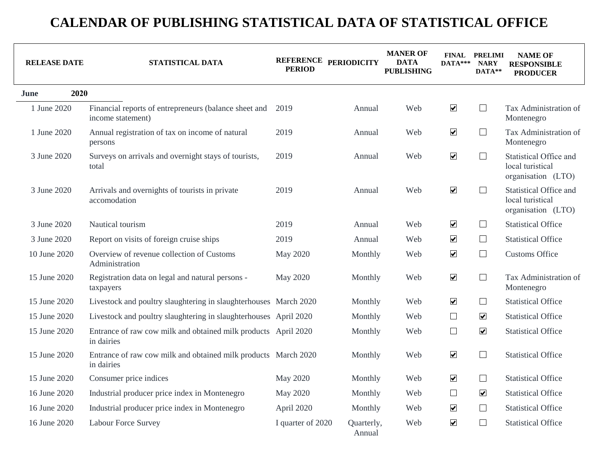| <b>RELEASE DATE</b> | STATISTICAL DATA                                                             | <b>PERIOD</b>     | REFERENCE PERIODICITY | <b>MANER OF</b><br>DATA<br><b>PUBLISHING</b> | $DATA***$            | <b>FINAL PRELIMI</b><br><b>NARY</b><br>DATA** | <b>NAME OF</b><br><b>RESPONSIBLE</b><br><b>PRODUCER</b>                 |
|---------------------|------------------------------------------------------------------------------|-------------------|-----------------------|----------------------------------------------|----------------------|-----------------------------------------------|-------------------------------------------------------------------------|
| 2020<br>June        |                                                                              |                   |                       |                                              |                      |                                               |                                                                         |
| 1 June 2020         | Financial reports of entrepreneurs (balance sheet and<br>income statement)   | 2019              | Annual                | Web                                          | $\blacktriangledown$ | $\Box$                                        | Tax Administration of<br>Montenegro                                     |
| 1 June 2020         | Annual registration of tax on income of natural<br>persons                   | 2019              | Annual                | Web                                          | $\blacktriangledown$ | $\Box$                                        | Tax Administration of<br>Montenegro                                     |
| 3 June 2020         | Surveys on arrivals and overnight stays of tourists,<br>total                | 2019              | Annual                | Web                                          | $\blacktriangledown$ | $\Box$                                        | Statistical Office and<br>local turistical<br>organisation (LTO)        |
| 3 June 2020         | Arrivals and overnights of tourists in private<br>accomodation               | 2019              | Annual                | Web                                          | $\blacktriangledown$ | $\perp$                                       | <b>Statistical Office and</b><br>local turistical<br>organisation (LTO) |
| 3 June 2020         | Nautical tourism                                                             | 2019              | Annual                | Web                                          | $\blacktriangledown$ | $\Box$                                        | <b>Statistical Office</b>                                               |
| 3 June 2020         | Report on visits of foreign cruise ships                                     | 2019              | Annual                | Web                                          | $\blacktriangledown$ | $\Box$                                        | <b>Statistical Office</b>                                               |
| 10 June 2020        | Overview of revenue collection of Customs<br>Administration                  | May 2020          | Monthly               | Web                                          | $\blacktriangledown$ | $\Box$                                        | <b>Customs Office</b>                                                   |
| 15 June 2020        | Registration data on legal and natural persons -<br>taxpayers                | May 2020          | Monthly               | Web                                          | $\blacktriangledown$ | $\Box$                                        | Tax Administration of<br>Montenegro                                     |
| 15 June 2020        | Livestock and poultry slaughtering in slaughterhouses March 2020             |                   | Monthly               | Web                                          | $\blacktriangledown$ | $\Box$                                        | <b>Statistical Office</b>                                               |
| 15 June 2020        | Livestock and poultry slaughtering in slaughterhouses April 2020             |                   | Monthly               | Web                                          | $\Box$               | $\overline{\mathbf{v}}$                       | <b>Statistical Office</b>                                               |
| 15 June 2020        | Entrance of raw cow milk and obtained milk products April 2020<br>in dairies |                   | Monthly               | Web                                          | $\Box$               | $\overline{\mathbf{v}}$                       | <b>Statistical Office</b>                                               |
| 15 June 2020        | Entrance of raw cow milk and obtained milk products March 2020<br>in dairies |                   | Monthly               | Web                                          | $\blacktriangledown$ | $\Box$                                        | <b>Statistical Office</b>                                               |
| 15 June 2020        | Consumer price indices                                                       | May 2020          | Monthly               | Web                                          | $\blacktriangledown$ | $\Box$                                        | <b>Statistical Office</b>                                               |
| 16 June 2020        | Industrial producer price index in Montenegro                                | May 2020          | Monthly               | Web                                          | $\Box$               | $\overline{\mathbf{v}}$                       | <b>Statistical Office</b>                                               |
| 16 June 2020        | Industrial producer price index in Montenegro                                | April 2020        | Monthly               | Web                                          | $\blacktriangledown$ | $\Box$                                        | <b>Statistical Office</b>                                               |
| 16 June 2020        | <b>Labour Force Survey</b>                                                   | I quarter of 2020 | Quarterly,<br>Annual  | Web                                          | $\blacktriangledown$ | $\Box$                                        | <b>Statistical Office</b>                                               |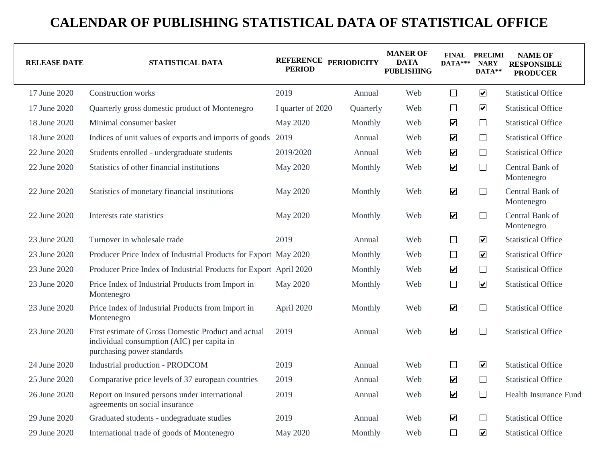| <b>RELEASE DATE</b> | STATISTICAL DATA                                                                                                                | REFERENCE PERIODICITY<br><b>PERIOD</b> |           | <b>MANER OF</b><br><b>DATA</b><br><b>PUBLISHING</b> | DATA***                     | <b>FINAL PRELIMI</b><br><b>NARY</b><br>DATA** | <b>NAME OF</b><br><b>RESPONSIBLE</b><br><b>PRODUCER</b> |
|---------------------|---------------------------------------------------------------------------------------------------------------------------------|----------------------------------------|-----------|-----------------------------------------------------|-----------------------------|-----------------------------------------------|---------------------------------------------------------|
| 17 June 2020        | <b>Construction works</b>                                                                                                       | 2019                                   | Annual    | Web                                                 | $\Box$                      | $\overline{\mathbf{v}}$                       | <b>Statistical Office</b>                               |
| 17 June 2020        | Quarterly gross domestic product of Montenegro                                                                                  | I quarter of 2020                      | Quarterly | Web                                                 | $\Box$                      | $\boxed{\blacktriangledown}$                  | <b>Statistical Office</b>                               |
| 18 June 2020        | Minimal consumer basket                                                                                                         | May 2020                               | Monthly   | Web                                                 | $\blacktriangledown$        | $\Box$                                        | <b>Statistical Office</b>                               |
| 18 June 2020        | Indices of unit values of exports and imports of goods                                                                          | 2019                                   | Annual    | Web                                                 | $\blacktriangledown$        | $\Box$                                        | <b>Statistical Office</b>                               |
| 22 June 2020        | Students enrolled - undergraduate students                                                                                      | 2019/2020                              | Annual    | Web                                                 | $\blacktriangledown$        | $\Box$                                        | <b>Statistical Office</b>                               |
| 22 June 2020        | Statistics of other financial institutions                                                                                      | May 2020                               | Monthly   | Web                                                 | $\blacktriangledown$        | $\Box$                                        | Central Bank of<br>Montenegro                           |
| 22 June 2020        | Statistics of monetary financial institutions                                                                                   | May 2020                               | Monthly   | Web                                                 | $\blacktriangledown$        | $\Box$                                        | Central Bank of<br>Montenegro                           |
| 22 June 2020        | Interests rate statistics                                                                                                       | May 2020                               | Monthly   | Web                                                 | $\blacktriangledown$        | $\Box$                                        | Central Bank of<br>Montenegro                           |
| 23 June 2020        | Turnover in wholesale trade                                                                                                     | 2019                                   | Annual    | Web                                                 | $\Box$                      | $\boxed{\blacktriangledown}$                  | <b>Statistical Office</b>                               |
| 23 June 2020        | Producer Price Index of Industrial Products for Export May 2020                                                                 |                                        | Monthly   | Web                                                 | $\Box$                      | $\overline{\mathbf{v}}$                       | <b>Statistical Office</b>                               |
| 23 June 2020        | Producer Price Index of Industrial Products for Export April 2020                                                               |                                        | Monthly   | Web                                                 | $\blacktriangledown$        | ⊔                                             | <b>Statistical Office</b>                               |
| 23 June 2020        | Price Index of Industrial Products from Import in<br>Montenegro                                                                 | May 2020                               | Monthly   | Web                                                 | $\Box$                      | $\boxed{\blacktriangledown}$                  | <b>Statistical Office</b>                               |
| 23 June 2020        | Price Index of Industrial Products from Import in<br>Montenegro                                                                 | April 2020                             | Monthly   | Web                                                 | $\blacktriangledown$        | $\Box$                                        | <b>Statistical Office</b>                               |
| 23 June 2020        | First estimate of Gross Domestic Product and actual<br>individual consumption (AIC) per capita in<br>purchasing power standards | 2019                                   | Annual    | Web                                                 | $\blacktriangledown$        | $\Box$                                        | <b>Statistical Office</b>                               |
| 24 June 2020        | Industrial production - PRODCOM                                                                                                 | 2019                                   | Annual    | Web                                                 | $\Box$                      | $\overline{\mathbf{v}}$                       | <b>Statistical Office</b>                               |
| 25 June 2020        | Comparative price levels of 37 european countries                                                                               | 2019                                   | Annual    | Web                                                 | $\blacktriangledown$        | $\Box$                                        | <b>Statistical Office</b>                               |
| 26 June 2020        | Report on insured persons under international<br>agreements on social insurance                                                 | 2019                                   | Annual    | Web                                                 | $\blacktriangledown$        | $\Box$                                        | <b>Health Insurance Fund</b>                            |
| 29 June 2020        | Graduated students - undegraduate studies                                                                                       | 2019                                   | Annual    | Web                                                 | $\blacktriangledown$        | ⊔                                             | <b>Statistical Office</b>                               |
| 29 June 2020        | International trade of goods of Montenegro                                                                                      | May 2020                               | Monthly   | Web                                                 | $\mathcal{L}_{\mathcal{A}}$ | $\overline{\mathbf{v}}$                       | <b>Statistical Office</b>                               |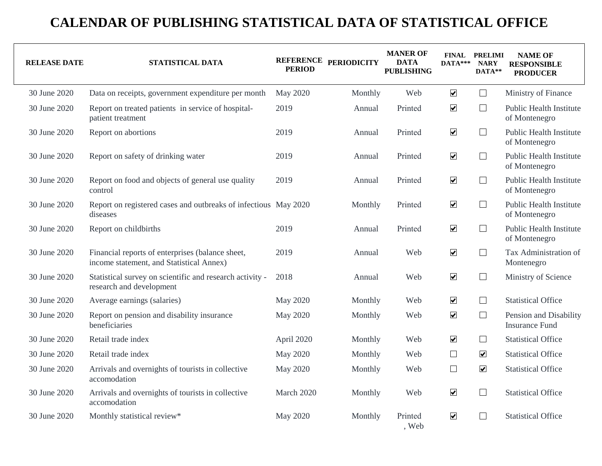| <b>RELEASE DATE</b> | STATISTICAL DATA                                                                             | <b>PERIOD</b>   | REFERENCE PERIODICITY | <b>MANER OF</b><br><b>DATA</b><br><b>PUBLISHING</b> | $DATA***$            | <b>FINAL PRELIMI</b><br><b>NARY</b><br>DATA** | <b>NAME OF</b><br><b>RESPONSIBLE</b><br><b>PRODUCER</b> |
|---------------------|----------------------------------------------------------------------------------------------|-----------------|-----------------------|-----------------------------------------------------|----------------------|-----------------------------------------------|---------------------------------------------------------|
| 30 June 2020        | Data on receipts, government expenditure per month                                           | <b>May 2020</b> | Monthly               | Web                                                 | $\blacktriangledown$ | $\Box$                                        | Ministry of Finance                                     |
| 30 June 2020        | Report on treated patients in service of hospital-<br>patient treatment                      | 2019            | Annual                | Printed                                             | $\blacktriangledown$ | ⊔                                             | <b>Public Health Institute</b><br>of Montenegro         |
| 30 June 2020        | Report on abortions                                                                          | 2019            | Annual                | Printed                                             | $\blacktriangledown$ | $\Box$                                        | <b>Public Health Institute</b><br>of Montenegro         |
| 30 June 2020        | Report on safety of drinking water                                                           | 2019            | Annual                | Printed                                             | $\blacktriangledown$ | $\Box$                                        | <b>Public Health Institute</b><br>of Montenegro         |
| 30 June 2020        | Report on food and objects of general use quality<br>control                                 | 2019            | Annual                | Printed                                             | $\blacktriangledown$ | $\Box$                                        | <b>Public Health Institute</b><br>of Montenegro         |
| 30 June 2020        | Report on registered cases and outbreaks of infectious May 2020<br>diseases                  |                 | Monthly               | Printed                                             | $\blacktriangledown$ | $\Box$                                        | <b>Public Health Institute</b><br>of Montenegro         |
| 30 June 2020        | Report on childbirths                                                                        | 2019            | Annual                | Printed                                             | $\blacktriangledown$ | $\Box$                                        | <b>Public Health Institute</b><br>of Montenegro         |
| 30 June 2020        | Financial reports of enterprises (balance sheet,<br>income statement, and Statistical Annex) | 2019            | Annual                | Web                                                 | $\blacktriangledown$ | $\Box$                                        | Tax Administration of<br>Montenegro                     |
| 30 June 2020        | Statistical survey on scientific and research activity -<br>research and development         | 2018            | Annual                | Web                                                 | $\blacktriangledown$ | $\Box$                                        | Ministry of Science                                     |
| 30 June 2020        | Average earnings (salaries)                                                                  | May 2020        | Monthly               | Web                                                 | $\blacktriangledown$ | Ш                                             | <b>Statistical Office</b>                               |
| 30 June 2020        | Report on pension and disability insurance<br>beneficiaries                                  | May 2020        | Monthly               | Web                                                 | $\blacktriangledown$ | $\Box$                                        | Pension and Disability<br><b>Insurance Fund</b>         |
| 30 June 2020        | Retail trade index                                                                           | April 2020      | Monthly               | Web                                                 | $\blacktriangledown$ | ⊔                                             | <b>Statistical Office</b>                               |
| 30 June 2020        | Retail trade index                                                                           | May 2020        | Monthly               | Web                                                 | $\Box$               | $\overline{\mathbf{v}}$                       | <b>Statistical Office</b>                               |
| 30 June 2020        | Arrivals and overnights of tourists in collective<br>accomodation                            | May 2020        | Monthly               | Web                                                 | $\Box$               | $\overline{\mathbf{v}}$                       | <b>Statistical Office</b>                               |
| 30 June 2020        | Arrivals and overnights of tourists in collective<br>accomodation                            | March 2020      | Monthly               | Web                                                 | $\blacktriangledown$ | $\Box$                                        | <b>Statistical Office</b>                               |
| 30 June 2020        | Monthly statistical review*                                                                  | May 2020        | Monthly               | Printed<br>Web                                      | $\blacktriangledown$ | $\mathbf{L}$                                  | <b>Statistical Office</b>                               |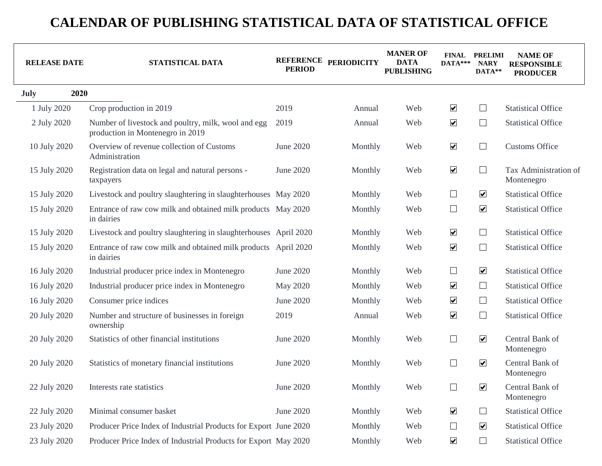| <b>RELEASE DATE</b> | STATISTICAL DATA                                                                        | <b>PERIOD</b> | REFERENCE PERIODICITY | <b>MANER OF</b><br><b>DATA</b><br><b>PUBLISHING</b> | $DATA***$            | <b>FINAL PRELIMI</b><br><b>NARY</b><br>DATA** | <b>NAME OF</b><br><b>RESPONSIBLE</b><br><b>PRODUCER</b> |
|---------------------|-----------------------------------------------------------------------------------------|---------------|-----------------------|-----------------------------------------------------|----------------------|-----------------------------------------------|---------------------------------------------------------|
| 2020<br><b>July</b> |                                                                                         |               |                       |                                                     |                      |                                               |                                                         |
| 1 July 2020         | Crop production in 2019                                                                 | 2019          | Annual                | Web                                                 | $\blacktriangledown$ | $\Box$                                        | <b>Statistical Office</b>                               |
| 2 July 2020         | Number of livestock and poultry, milk, wool and egg<br>production in Montenegro in 2019 | 2019          | Annual                | Web                                                 | $\blacktriangledown$ | $\Box$                                        | <b>Statistical Office</b>                               |
| 10 July 2020        | Overview of revenue collection of Customs<br>Administration                             | June 2020     | Monthly               | Web                                                 | $\blacktriangledown$ | $\Box$                                        | <b>Customs Office</b>                                   |
| 15 July 2020        | Registration data on legal and natural persons -<br>taxpayers                           | June 2020     | Monthly               | Web                                                 | $\blacktriangledown$ | $\Box$                                        | Tax Administration of<br>Montenegro                     |
| 15 July 2020        | Livestock and poultry slaughtering in slaughterhouses May 2020                          |               | Monthly               | Web                                                 | $\Box$               | $\overline{\mathbf{v}}$                       | <b>Statistical Office</b>                               |
| 15 July 2020        | Entrance of raw cow milk and obtained milk products May 2020<br>in dairies              |               | Monthly               | Web                                                 | $\Box$               | $\blacktriangledown$                          | <b>Statistical Office</b>                               |
| 15 July 2020        | Livestock and poultry slaughtering in slaughterhouses April 2020                        |               | Monthly               | Web                                                 | $\blacktriangledown$ | $\Box$                                        | <b>Statistical Office</b>                               |
| 15 July 2020        | Entrance of raw cow milk and obtained milk products April 2020<br>in dairies            |               | Monthly               | Web                                                 | $\blacktriangledown$ | $\Box$                                        | <b>Statistical Office</b>                               |
| 16 July 2020        | Industrial producer price index in Montenegro                                           | June 2020     | Monthly               | Web                                                 | $\Box$               | $\blacktriangledown$                          | <b>Statistical Office</b>                               |
| 16 July 2020        | Industrial producer price index in Montenegro                                           | May 2020      | Monthly               | Web                                                 | $\blacktriangledown$ | $\Box$                                        | <b>Statistical Office</b>                               |
| 16 July 2020        | Consumer price indices                                                                  | June 2020     | Monthly               | Web                                                 | $\blacktriangledown$ | $\Box$                                        | <b>Statistical Office</b>                               |
| 20 July 2020        | Number and structure of businesses in foreign<br>ownership                              | 2019          | Annual                | Web                                                 | $\blacktriangledown$ | $\Box$                                        | <b>Statistical Office</b>                               |
| 20 July 2020        | Statistics of other financial institutions                                              | June 2020     | Monthly               | Web                                                 | $\Box$               | $\boxed{\blacktriangledown}$                  | Central Bank of<br>Montenegro                           |
| 20 July 2020        | Statistics of monetary financial institutions                                           | June 2020     | Monthly               | Web                                                 | $\Box$               | $\overline{\mathbf{v}}$                       | Central Bank of<br>Montenegro                           |
| 22 July 2020        | Interests rate statistics                                                               | June 2020     | Monthly               | Web                                                 | $\Box$               | $\blacktriangledown$                          | Central Bank of<br>Montenegro                           |
| 22 July 2020        | Minimal consumer basket                                                                 | June 2020     | Monthly               | Web                                                 | $\blacktriangledown$ | $\Box$                                        | <b>Statistical Office</b>                               |
| 23 July 2020        | Producer Price Index of Industrial Products for Export June 2020                        |               | Monthly               | Web                                                 | $\Box$               | $\overline{\mathbf{v}}$                       | <b>Statistical Office</b>                               |
| 23 July 2020        | Producer Price Index of Industrial Products for Export May 2020                         |               | Monthly               | Web                                                 | $\blacktriangledown$ | $\Box$                                        | <b>Statistical Office</b>                               |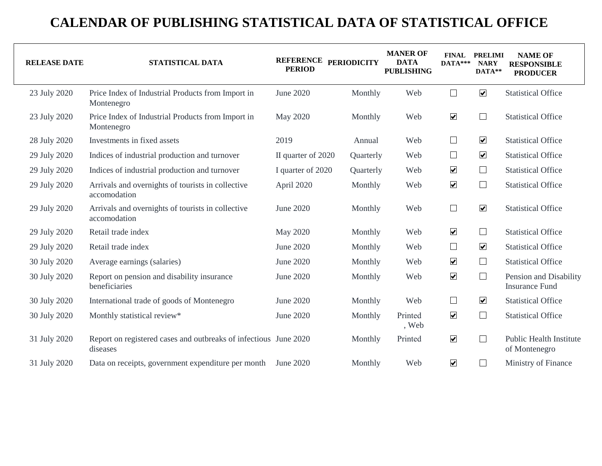| <b>RELEASE DATE</b> | STATISTICAL DATA                                                             | REFERENCE PERIODICITY<br><b>PERIOD</b> |           | <b>MANER OF</b><br><b>DATA</b><br><b>PUBLISHING</b> | $DATA***$            | <b>FINAL PRELIMI</b><br><b>NARY</b><br>DATA** | <b>NAME OF</b><br><b>RESPONSIBLE</b><br><b>PRODUCER</b> |
|---------------------|------------------------------------------------------------------------------|----------------------------------------|-----------|-----------------------------------------------------|----------------------|-----------------------------------------------|---------------------------------------------------------|
| 23 July 2020        | Price Index of Industrial Products from Import in<br>Montenegro              | June 2020                              | Monthly   | Web                                                 | $\Box$               | $\overline{\mathbf{v}}$                       | <b>Statistical Office</b>                               |
| 23 July 2020        | Price Index of Industrial Products from Import in<br>Montenegro              | May 2020                               | Monthly   | Web                                                 | $\blacktriangledown$ | $\Box$                                        | <b>Statistical Office</b>                               |
| 28 July 2020        | Investments in fixed assets                                                  | 2019                                   | Annual    | Web                                                 | $\Box$               | $\overline{\mathbf{v}}$                       | <b>Statistical Office</b>                               |
| 29 July 2020        | Indices of industrial production and turnover                                | II quarter of 2020                     | Quarterly | Web                                                 | $\Box$               | $\overline{\mathbf{v}}$                       | <b>Statistical Office</b>                               |
| 29 July 2020        | Indices of industrial production and turnover                                | I quarter of 2020                      | Quarterly | Web                                                 | $\blacktriangledown$ | $\Box$                                        | <b>Statistical Office</b>                               |
| 29 July 2020        | Arrivals and overnights of tourists in collective<br>accomodation            | April 2020                             | Monthly   | Web                                                 | $\blacktriangledown$ | $\Box$                                        | <b>Statistical Office</b>                               |
| 29 July 2020        | Arrivals and overnights of tourists in collective<br>accomodation            | June 2020                              | Monthly   | Web                                                 | $\Box$               | $\boxed{\blacktriangledown}$                  | <b>Statistical Office</b>                               |
| 29 July 2020        | Retail trade index                                                           | May 2020                               | Monthly   | Web                                                 | $\blacktriangledown$ | $\Box$                                        | <b>Statistical Office</b>                               |
| 29 July 2020        | Retail trade index                                                           | June 2020                              | Monthly   | Web                                                 | $\Box$               | $\overline{\mathbf{v}}$                       | <b>Statistical Office</b>                               |
| 30 July 2020        | Average earnings (salaries)                                                  | June 2020                              | Monthly   | Web                                                 | $\blacktriangledown$ | $\Box$                                        | <b>Statistical Office</b>                               |
| 30 July 2020        | Report on pension and disability insurance<br>beneficiaries                  | June 2020                              | Monthly   | Web                                                 | $\blacktriangledown$ | $\Box$                                        | Pension and Disability<br><b>Insurance Fund</b>         |
| 30 July 2020        | International trade of goods of Montenegro                                   | June 2020                              | Monthly   | Web                                                 | $\Box$               | $\overline{\mathbf{v}}$                       | <b>Statistical Office</b>                               |
| 30 July 2020        | Monthly statistical review*                                                  | June 2020                              | Monthly   | Printed<br>, Web                                    | $\blacktriangledown$ | $\Box$                                        | <b>Statistical Office</b>                               |
| 31 July 2020        | Report on registered cases and outbreaks of infectious June 2020<br>diseases |                                        | Monthly   | Printed                                             | $\blacktriangledown$ | $\Box$                                        | <b>Public Health Institute</b><br>of Montenegro         |
| 31 July 2020        | Data on receipts, government expenditure per month                           | June 2020                              | Monthly   | Web                                                 | $\blacktriangledown$ | $\Box$                                        | Ministry of Finance                                     |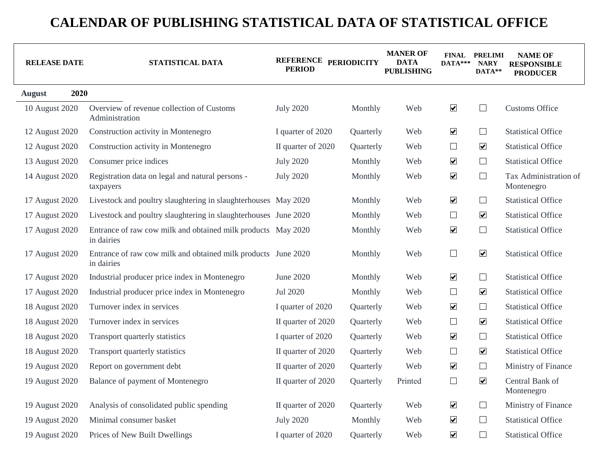| <b>RELEASE DATE</b>   | STATISTICAL DATA                                                            | REFERENCE PERIODICITY<br><b>PERIOD</b> |           | <b>MANER OF</b><br><b>DATA</b><br><b>PUBLISHING</b> | $DATA***$            | <b>FINAL PRELIMI</b><br><b>NARY</b><br>DATA** | <b>NAME OF</b><br><b>RESPONSIBLE</b><br><b>PRODUCER</b> |
|-----------------------|-----------------------------------------------------------------------------|----------------------------------------|-----------|-----------------------------------------------------|----------------------|-----------------------------------------------|---------------------------------------------------------|
| 2020<br><b>August</b> |                                                                             |                                        |           |                                                     |                      |                                               |                                                         |
| 10 August 2020        | Overview of revenue collection of Customs<br>Administration                 | <b>July 2020</b>                       | Monthly   | Web                                                 | $\blacktriangledown$ | $\Box$                                        | <b>Customs Office</b>                                   |
| 12 August 2020        | Construction activity in Montenegro                                         | I quarter of 2020                      | Quarterly | Web                                                 | $\blacktriangledown$ | $\Box$                                        | <b>Statistical Office</b>                               |
| 12 August 2020        | Construction activity in Montenegro                                         | II quarter of 2020                     | Quarterly | Web                                                 | $\Box$               | $\boxed{\blacktriangledown}$                  | <b>Statistical Office</b>                               |
| 13 August 2020        | Consumer price indices                                                      | <b>July 2020</b>                       | Monthly   | Web                                                 | $\blacktriangledown$ | $\Box$                                        | <b>Statistical Office</b>                               |
| 14 August 2020        | Registration data on legal and natural persons -<br>taxpayers               | <b>July 2020</b>                       | Monthly   | Web                                                 | $\blacktriangledown$ | $\Box$                                        | Tax Administration of<br>Montenegro                     |
| 17 August 2020        | Livestock and poultry slaughtering in slaughterhouses May 2020              |                                        | Monthly   | Web                                                 | $\blacktriangledown$ | $\Box$                                        | <b>Statistical Office</b>                               |
| 17 August 2020        | Livestock and poultry slaughtering in slaughterhouses June 2020             |                                        | Monthly   | Web                                                 | $\Box$               | $\overline{\mathbf{v}}$                       | <b>Statistical Office</b>                               |
| 17 August 2020        | Entrance of raw cow milk and obtained milk products May 2020<br>in dairies  |                                        | Monthly   | Web                                                 | $\blacktriangledown$ | $\Box$                                        | <b>Statistical Office</b>                               |
| 17 August 2020        | Entrance of raw cow milk and obtained milk products June 2020<br>in dairies |                                        | Monthly   | Web                                                 | $\Box$               | $\blacktriangledown$                          | <b>Statistical Office</b>                               |
| 17 August 2020        | Industrial producer price index in Montenegro                               | June 2020                              | Monthly   | Web                                                 | $\blacktriangledown$ | $\Box$                                        | <b>Statistical Office</b>                               |
| 17 August 2020        | Industrial producer price index in Montenegro                               | Jul 2020                               | Monthly   | Web                                                 | $\Box$               | $\overline{\mathbf{v}}$                       | <b>Statistical Office</b>                               |
| 18 August 2020        | Turnover index in services                                                  | I quarter of 2020                      | Quarterly | Web                                                 | $\blacktriangledown$ | $\Box$                                        | <b>Statistical Office</b>                               |
| 18 August 2020        | Turnover index in services                                                  | II quarter of 2020                     | Quarterly | Web                                                 | $\Box$               | $\boxed{\blacktriangledown}$                  | <b>Statistical Office</b>                               |
| 18 August 2020        | Transport quarterly statistics                                              | I quarter of 2020                      | Quarterly | Web                                                 | $\blacktriangledown$ | $\Box$                                        | <b>Statistical Office</b>                               |
| 18 August 2020        | Transport quarterly statistics                                              | II quarter of 2020                     | Quarterly | Web                                                 | $\Box$               | $\overline{\mathbf{v}}$                       | <b>Statistical Office</b>                               |
| 19 August 2020        | Report on government debt                                                   | II quarter of 2020                     | Quarterly | Web                                                 | $\blacktriangledown$ | $\Box$                                        | Ministry of Finance                                     |
| 19 August 2020        | Balance of payment of Montenegro                                            | II quarter of 2020                     | Quarterly | Printed                                             | $\Box$               | $\blacktriangledown$                          | Central Bank of<br>Montenegro                           |
| 19 August 2020        | Analysis of consolidated public spending                                    | II quarter of 2020                     | Quarterly | Web                                                 | $\blacktriangledown$ | $\Box$                                        | Ministry of Finance                                     |
| 19 August 2020        | Minimal consumer basket                                                     | <b>July 2020</b>                       | Monthly   | Web                                                 | $\blacktriangledown$ | $\Box$                                        | <b>Statistical Office</b>                               |
| 19 August 2020        | Prices of New Built Dwellings                                               | I quarter of 2020                      | Quarterly | Web                                                 | $\blacktriangledown$ | $\Box$                                        | <b>Statistical Office</b>                               |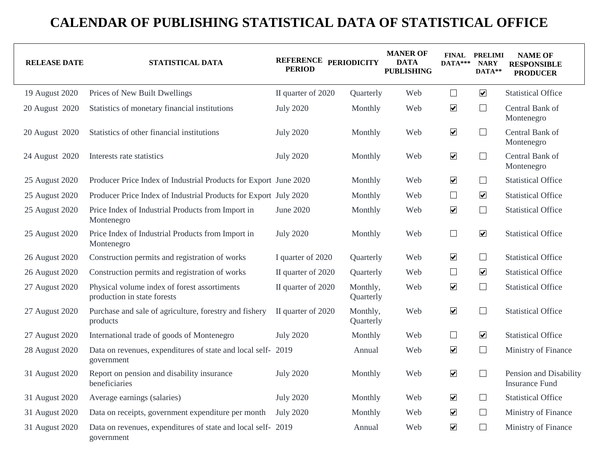| <b>RELEASE DATE</b> | STATISTICAL DATA                                                            | REFERENCE PERIODICITY<br><b>PERIOD</b> |                       | <b>MANER OF</b><br><b>DATA</b><br><b>PUBLISHING</b> | $DATA***$               | <b>FINAL PRELIMI</b><br><b>NARY</b><br>DATA** | <b>NAME OF</b><br><b>RESPONSIBLE</b><br><b>PRODUCER</b> |
|---------------------|-----------------------------------------------------------------------------|----------------------------------------|-----------------------|-----------------------------------------------------|-------------------------|-----------------------------------------------|---------------------------------------------------------|
| 19 August 2020      | Prices of New Built Dwellings                                               | II quarter of 2020                     | Quarterly             | Web                                                 | $\Box$                  | $\overline{\mathbf{v}}$                       | <b>Statistical Office</b>                               |
| 20 August 2020      | Statistics of monetary financial institutions                               | <b>July 2020</b>                       | Monthly               | Web                                                 | $\blacktriangledown$    | $\Box$                                        | Central Bank of<br>Montenegro                           |
| 20 August 2020      | Statistics of other financial institutions                                  | <b>July 2020</b>                       | Monthly               | Web                                                 | $\blacktriangledown$    | $\Box$                                        | Central Bank of<br>Montenegro                           |
| 24 August 2020      | Interests rate statistics                                                   | <b>July 2020</b>                       | Monthly               | Web                                                 | $\blacktriangledown$    | $\Box$                                        | Central Bank of<br>Montenegro                           |
| 25 August 2020      | Producer Price Index of Industrial Products for Export June 2020            |                                        | Monthly               | Web                                                 | $\blacktriangledown$    | $\Box$                                        | <b>Statistical Office</b>                               |
| 25 August 2020      | Producer Price Index of Industrial Products for Export July 2020            |                                        | Monthly               | Web                                                 | $\Box$                  | $\overline{\mathbf{v}}$                       | <b>Statistical Office</b>                               |
| 25 August 2020      | Price Index of Industrial Products from Import in<br>Montenegro             | June 2020                              | Monthly               | Web                                                 | $\blacktriangledown$    | $\Box$                                        | <b>Statistical Office</b>                               |
| 25 August 2020      | Price Index of Industrial Products from Import in<br>Montenegro             | <b>July 2020</b>                       | Monthly               | Web                                                 | $\Box$                  | $\overline{\mathbf{v}}$                       | <b>Statistical Office</b>                               |
| 26 August 2020      | Construction permits and registration of works                              | I quarter of 2020                      | Quarterly             | Web                                                 | $\blacktriangledown$    | $\Box$                                        | <b>Statistical Office</b>                               |
| 26 August 2020      | Construction permits and registration of works                              | II quarter of 2020                     | Quarterly             | Web                                                 | $\Box$                  | $\overline{\mathbf{v}}$                       | <b>Statistical Office</b>                               |
| 27 August 2020      | Physical volume index of forest assortiments<br>production in state forests | II quarter of 2020                     | Monthly,<br>Quarterly | Web                                                 | $\blacktriangledown$    | $\Box$                                        | <b>Statistical Office</b>                               |
| 27 August 2020      | Purchase and sale of agriculture, forestry and fishery<br>products          | II quarter of 2020                     | Monthly,<br>Quarterly | Web                                                 | $\blacktriangledown$    | $\Box$                                        | <b>Statistical Office</b>                               |
| 27 August 2020      | International trade of goods of Montenegro                                  | <b>July 2020</b>                       | Monthly               | Web                                                 | $\Box$                  | $\overline{\mathbf{v}}$                       | <b>Statistical Office</b>                               |
| 28 August 2020      | Data on revenues, expenditures of state and local self- 2019<br>government  |                                        | Annual                | Web                                                 | $\blacktriangledown$    | $\Box$                                        | Ministry of Finance                                     |
| 31 August 2020      | Report on pension and disability insurance<br>beneficiaries                 | <b>July 2020</b>                       | Monthly               | Web                                                 | $\blacktriangledown$    | $\Box$                                        | Pension and Disability<br><b>Insurance Fund</b>         |
| 31 August 2020      | Average earnings (salaries)                                                 | <b>July 2020</b>                       | Monthly               | Web                                                 | $\blacktriangledown$    | $\Box$                                        | <b>Statistical Office</b>                               |
| 31 August 2020      | Data on receipts, government expenditure per month                          | <b>July 2020</b>                       | Monthly               | Web                                                 | $\blacktriangledown$    | $\Box$                                        | Ministry of Finance                                     |
| 31 August 2020      | Data on revenues, expenditures of state and local self- 2019<br>government  |                                        | Annual                | Web                                                 | $\overline{\mathbf{v}}$ | ⊔                                             | Ministry of Finance                                     |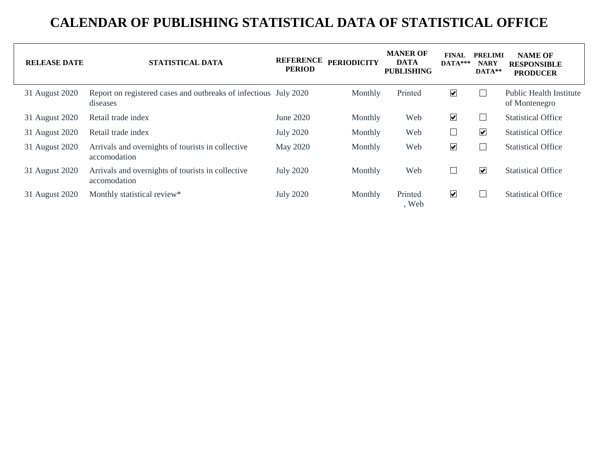| <b>RELEASE DATE</b> | STATISTICAL DATA                                                             | <b>REFERENCE</b><br><b>PERIOD</b> | <b>PERIODICITY</b> | <b>MANER OF</b><br><b>DATA</b><br><b>PUBLISHING</b> | FINAL<br>$DATA***$      | <b>PRELIMI</b><br><b>NARY</b><br>DATA** | <b>NAME OF</b><br><b>RESPONSIBLE</b><br><b>PRODUCER</b> |
|---------------------|------------------------------------------------------------------------------|-----------------------------------|--------------------|-----------------------------------------------------|-------------------------|-----------------------------------------|---------------------------------------------------------|
| 31 August 2020      | Report on registered cases and outbreaks of infectious July 2020<br>diseases |                                   | Monthly            | Printed                                             | $\blacktriangledown$    | L                                       | <b>Public Health Institute</b><br>of Montenegro         |
| 31 August 2020      | Retail trade index                                                           | June 2020                         | Monthly            | Web                                                 | $\overline{\mathbf{v}}$ |                                         | <b>Statistical Office</b>                               |
| 31 August 2020      | Retail trade index                                                           | <b>July 2020</b>                  | Monthly            | Web                                                 |                         | $\overline{\mathbf{v}}$                 | <b>Statistical Office</b>                               |
| 31 August 2020      | Arrivals and overnights of tourists in collective<br>accomodation            | May 2020                          | Monthly            | Web                                                 | $\blacktriangledown$    |                                         | <b>Statistical Office</b>                               |
| 31 August 2020      | Arrivals and overnights of tourists in collective<br>accomodation            | <b>July 2020</b>                  | Monthly            | Web                                                 |                         | $\overline{\mathbf{v}}$                 | <b>Statistical Office</b>                               |
| 31 August 2020      | Monthly statistical review*                                                  | <b>July 2020</b>                  | Monthly            | Printed<br>, Web                                    | $\overline{\mathbf{v}}$ |                                         | <b>Statistical Office</b>                               |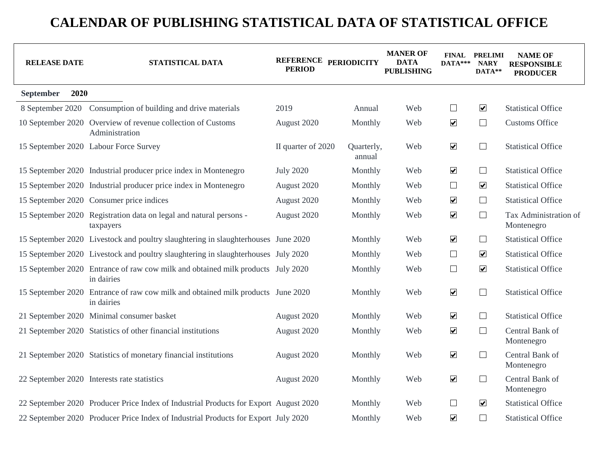| <b>RELEASE DATE</b> | STATISTICAL DATA                                                                              | REFERENCE PERIODICITY<br><b>PERIOD</b> |                      | <b>MANER OF</b><br><b>DATA</b><br><b>PUBLISHING</b> | $DATA***$            | <b>FINAL PRELIMI</b><br><b>NARY</b><br>DATA** | <b>NAME OF</b><br><b>RESPONSIBLE</b><br><b>PRODUCER</b> |
|---------------------|-----------------------------------------------------------------------------------------------|----------------------------------------|----------------------|-----------------------------------------------------|----------------------|-----------------------------------------------|---------------------------------------------------------|
| 2020<br>September   |                                                                                               |                                        |                      |                                                     |                      |                                               |                                                         |
|                     | 8 September 2020 Consumption of building and drive materials                                  | 2019                                   | Annual               | Web                                                 | $\Box$               | $\overline{\mathbf{v}}$                       | <b>Statistical Office</b>                               |
|                     | 10 September 2020 Overview of revenue collection of Customs<br>Administration                 | August 2020                            | Monthly              | Web                                                 | $\blacktriangledown$ | $\Box$                                        | <b>Customs Office</b>                                   |
|                     | 15 September 2020 Labour Force Survey                                                         | II quarter of 2020                     | Quarterly,<br>annual | Web                                                 | $\blacktriangledown$ | $\Box$                                        | <b>Statistical Office</b>                               |
|                     | 15 September 2020 Industrial producer price index in Montenegro                               | <b>July 2020</b>                       | Monthly              | Web                                                 | $\blacktriangledown$ | $\Box$                                        | <b>Statistical Office</b>                               |
|                     | 15 September 2020 Industrial producer price index in Montenegro                               | August 2020                            | Monthly              | Web                                                 | $\Box$               | $\overline{\mathbf{v}}$                       | <b>Statistical Office</b>                               |
|                     | 15 September 2020 Consumer price indices                                                      | August 2020                            | Monthly              | Web                                                 | $\blacktriangledown$ | $\Box$                                        | <b>Statistical Office</b>                               |
|                     | 15 September 2020 Registration data on legal and natural persons -<br>taxpayers               | August 2020                            | Monthly              | Web                                                 | $\blacktriangledown$ | $\Box$                                        | Tax Administration of<br>Montenegro                     |
|                     | 15 September 2020 Livestock and poultry slaughtering in slaughterhouses June 2020             |                                        | Monthly              | Web                                                 | $\blacktriangledown$ | $\Box$                                        | <b>Statistical Office</b>                               |
|                     | 15 September 2020 Livestock and poultry slaughtering in slaughterhouses July 2020             |                                        | Monthly              | Web                                                 | $\Box$               | $\blacktriangledown$                          | <b>Statistical Office</b>                               |
|                     | 15 September 2020 Entrance of raw cow milk and obtained milk products July 2020<br>in dairies |                                        | Monthly              | Web                                                 | $\Box$               | $\boxed{\blacktriangledown}$                  | <b>Statistical Office</b>                               |
|                     | 15 September 2020 Entrance of raw cow milk and obtained milk products June 2020<br>in dairies |                                        | Monthly              | Web                                                 | $\blacktriangledown$ | $\Box$                                        | <b>Statistical Office</b>                               |
|                     | 21 September 2020 Minimal consumer basket                                                     | August 2020                            | Monthly              | Web                                                 | $\blacktriangledown$ | $\Box$                                        | <b>Statistical Office</b>                               |
|                     | 21 September 2020 Statistics of other financial institutions                                  | August 2020                            | Monthly              | Web                                                 | $\blacktriangledown$ | $\Box$                                        | Central Bank of<br>Montenegro                           |
|                     | 21 September 2020 Statistics of monetary financial institutions                               | August 2020                            | Monthly              | Web                                                 | $\blacktriangledown$ | $\Box$                                        | Central Bank of<br>Montenegro                           |
|                     | 22 September 2020 Interests rate statistics                                                   | August 2020                            | Monthly              | Web                                                 | $\blacktriangledown$ | $\Box$                                        | Central Bank of<br>Montenegro                           |
|                     | 22 September 2020 Producer Price Index of Industrial Products for Export August 2020          |                                        | Monthly              | Web                                                 | $\Box$               | $\overline{\mathbf{v}}$                       | <b>Statistical Office</b>                               |
|                     | 22 September 2020 Producer Price Index of Industrial Products for Export July 2020            |                                        | Monthly              | Web                                                 | $\blacktriangledown$ | $\Box$                                        | <b>Statistical Office</b>                               |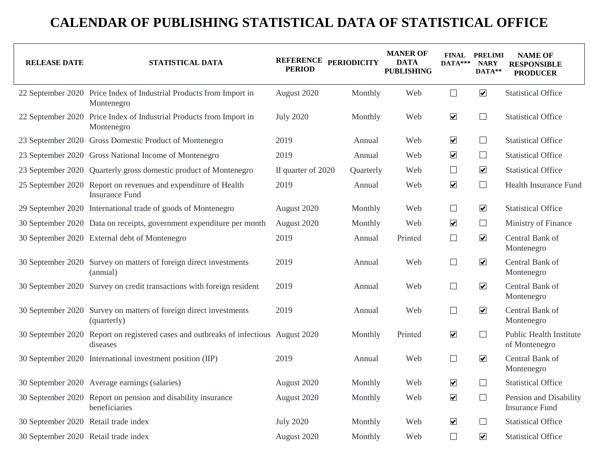| <b>RELEASE DATE</b>                  | STATISTICAL DATA                                                                        | REFERENCE PERIODICITY<br><b>PERIOD</b> |           | <b>MANER OF</b><br><b>DATA</b><br><b>PUBLISHING</b> | DATA***              | FINAL PRELIMI<br><b>NARY</b><br>DATA** | <b>NAME OF</b><br><b>RESPONSIBLE</b><br><b>PRODUCER</b> |
|--------------------------------------|-----------------------------------------------------------------------------------------|----------------------------------------|-----------|-----------------------------------------------------|----------------------|----------------------------------------|---------------------------------------------------------|
|                                      | 22 September 2020 Price Index of Industrial Products from Import in<br>Montenegro       | August 2020                            | Monthly   | Web                                                 | $\Box$               | $\blacktriangledown$                   | <b>Statistical Office</b>                               |
|                                      | 22 September 2020 Price Index of Industrial Products from Import in<br>Montenegro       | <b>July 2020</b>                       | Monthly   | Web                                                 | $\blacktriangledown$ | $\Box$                                 | <b>Statistical Office</b>                               |
|                                      | 23 September 2020 Gross Domestic Product of Montenegro                                  | 2019                                   | Annual    | Web                                                 | $\blacktriangledown$ | $\Box$                                 | <b>Statistical Office</b>                               |
|                                      | 23 September 2020 Gross National Income of Montenegro                                   | 2019                                   | Annual    | Web                                                 | $\blacktriangledown$ | $\Box$                                 | <b>Statistical Office</b>                               |
|                                      | 23 September 2020 Quarterly gross domestic product of Montenegro                        | II quarter of 2020                     | Quarterly | Web                                                 | $\Box$               | $\blacktriangledown$                   | <b>Statistical Office</b>                               |
|                                      | 25 September 2020 Report on revenues and expenditure of Health<br><b>Insurance Fund</b> | 2019                                   | Annual    | Web                                                 | $\blacktriangledown$ | $\Box$                                 | <b>Health Insurance Fund</b>                            |
|                                      | 29 September 2020 International trade of goods of Montenegro                            | August 2020                            | Monthly   | Web                                                 | $\Box$               | $\overline{\mathbf{v}}$                | <b>Statistical Office</b>                               |
|                                      | 30 September 2020 Data on receipts, government expenditure per month                    | August 2020                            | Monthly   | Web                                                 | $\blacktriangledown$ | $\Box$                                 | Ministry of Finance                                     |
|                                      | 30 September 2020 External debt of Montenegro                                           | 2019                                   | Annual    | Printed                                             | $\Box$               | $\overline{\mathbf{v}}$                | Central Bank of<br>Montenegro                           |
|                                      | 30 September 2020 Survey on matters of foreign direct investments<br>(annual)           | 2019                                   | Annual    | Web                                                 | $\Box$               | $\overline{\mathbf{v}}$                | Central Bank of<br>Montenegro                           |
|                                      | 30 September 2020 Survey on credit transactions with foreign resident                   | 2019                                   | Annual    | Web                                                 | $\Box$               | $\overline{\mathbf{v}}$                | Central Bank of<br>Montenegro                           |
|                                      | 30 September 2020 Survey on matters of foreign direct investments<br>(quarterly)        | 2019                                   | Annual    | Web                                                 | $\Box$               | $\overline{\mathbf{v}}$                | Central Bank of<br>Montenegro                           |
| 30 September 2020                    | Report on registered cases and outbreaks of infectious August 2020<br>diseases          |                                        | Monthly   | Printed                                             | $\blacktriangledown$ | $\Box$                                 | Public Health Institute<br>of Montenegro                |
|                                      | 30 September 2020 International investment position (IIP)                               | 2019                                   | Annual    | Web                                                 | $\Box$               | $\overline{\mathbf{v}}$                | Central Bank of<br>Montenegro                           |
|                                      | 30 September 2020 Average earnings (salaries)                                           | August 2020                            | Monthly   | Web                                                 | $\blacktriangledown$ |                                        | <b>Statistical Office</b>                               |
|                                      | 30 September 2020 Report on pension and disability insurance<br>beneficiaries           | August 2020                            | Monthly   | Web                                                 | $\blacktriangledown$ | $\Box$                                 | Pension and Disability<br><b>Insurance Fund</b>         |
| 30 September 2020 Retail trade index |                                                                                         | <b>July 2020</b>                       | Monthly   | Web                                                 | $\blacktriangledown$ | $\Box$                                 | <b>Statistical Office</b>                               |
| 30 September 2020 Retail trade index |                                                                                         | August 2020                            | Monthly   | Web                                                 | $\Box$               | $\blacktriangledown$                   | <b>Statistical Office</b>                               |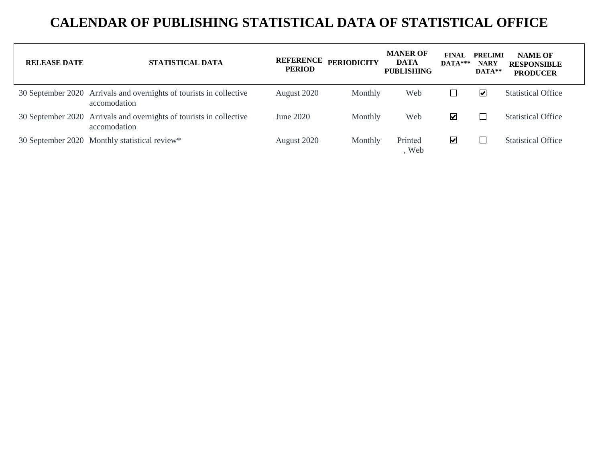| <b>RELEASE DATE</b> | <b>STATISTICAL DATA</b>                                                             | <b>PERIOD</b> | REFERENCE PERIODICITY | <b>MANER OF</b><br><b>DATA</b><br><b>PUBLISHING</b> | <b>FINAL</b><br>$DATA***$ | <b>PRELIMI</b><br><b>NARY</b><br>$DATA**$ | <b>NAME OF</b><br><b>RESPONSIBLE</b><br><b>PRODUCER</b> |
|---------------------|-------------------------------------------------------------------------------------|---------------|-----------------------|-----------------------------------------------------|---------------------------|-------------------------------------------|---------------------------------------------------------|
|                     | 30 September 2020 Arrivals and overnights of tourists in collective<br>accomodation | August 2020   | Monthly               | Web                                                 |                           | ⊻                                         | <b>Statistical Office</b>                               |
|                     | 30 September 2020 Arrivals and overnights of tourists in collective<br>accomodation | June 2020     | Monthly               | Web                                                 | ⊻                         |                                           | <b>Statistical Office</b>                               |
|                     | 30 September 2020 Monthly statistical review*                                       | August 2020   | Monthly               | Printed<br>, Web                                    | ⊻                         |                                           | <b>Statistical Office</b>                               |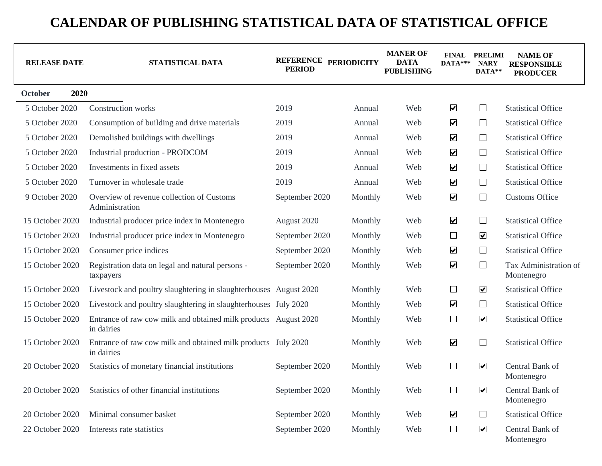| <b>RELEASE DATE</b> | STATISTICAL DATA                                                              | REFERENCE PERIODICITY<br><b>PERIOD</b> |         | <b>MANER OF</b><br><b>DATA</b><br><b>PUBLISHING</b> | $DATA***$                | <b>FINAL PRELIMI</b><br><b>NARY</b><br>DATA** | <b>NAME OF</b><br><b>RESPONSIBLE</b><br><b>PRODUCER</b> |
|---------------------|-------------------------------------------------------------------------------|----------------------------------------|---------|-----------------------------------------------------|--------------------------|-----------------------------------------------|---------------------------------------------------------|
| 2020<br>October     |                                                                               |                                        |         |                                                     |                          |                                               |                                                         |
| 5 October 2020      | <b>Construction</b> works                                                     | 2019                                   | Annual  | Web                                                 | $\blacktriangledown$     | $\Box$                                        | <b>Statistical Office</b>                               |
| 5 October 2020      | Consumption of building and drive materials                                   | 2019                                   | Annual  | Web                                                 | $\blacktriangledown$     | $\Box$                                        | <b>Statistical Office</b>                               |
| 5 October 2020      | Demolished buildings with dwellings                                           | 2019                                   | Annual  | Web                                                 | $\blacktriangledown$     | $\Box$                                        | <b>Statistical Office</b>                               |
| 5 October 2020      | Industrial production - PRODCOM                                               | 2019                                   | Annual  | Web                                                 | $\blacktriangledown$     | $\Box$                                        | <b>Statistical Office</b>                               |
| 5 October 2020      | Investments in fixed assets                                                   | 2019                                   | Annual  | Web                                                 | $\blacktriangledown$     | $\Box$                                        | <b>Statistical Office</b>                               |
| 5 October 2020      | Turnover in wholesale trade                                                   | 2019                                   | Annual  | Web                                                 | $\blacktriangledown$     | $\Box$                                        | <b>Statistical Office</b>                               |
| 9 October 2020      | Overview of revenue collection of Customs<br>Administration                   | September 2020                         | Monthly | Web                                                 | $\blacktriangledown$     | $\Box$                                        | <b>Customs Office</b>                                   |
| 15 October 2020     | Industrial producer price index in Montenegro                                 | August 2020                            | Monthly | Web                                                 | $\blacktriangledown$     | $\Box$                                        | <b>Statistical Office</b>                               |
| 15 October 2020     | Industrial producer price index in Montenegro                                 | September 2020                         | Monthly | Web                                                 | $\Box$                   | $\blacktriangledown$                          | <b>Statistical Office</b>                               |
| 15 October 2020     | Consumer price indices                                                        | September 2020                         | Monthly | Web                                                 | $\blacktriangledown$     | $\Box$                                        | <b>Statistical Office</b>                               |
| 15 October 2020     | Registration data on legal and natural persons -<br>taxpayers                 | September 2020                         | Monthly | Web                                                 | $\blacktriangledown$     | $\Box$                                        | Tax Administration of<br>Montenegro                     |
| 15 October 2020     | Livestock and poultry slaughtering in slaughterhouses August 2020             |                                        | Monthly | Web                                                 | ⊔                        | $\overline{\mathbf{v}}$                       | <b>Statistical Office</b>                               |
| 15 October 2020     | Livestock and poultry slaughtering in slaughterhouses July 2020               |                                        | Monthly | Web                                                 | $\blacktriangledown$     | $\Box$                                        | <b>Statistical Office</b>                               |
| 15 October 2020     | Entrance of raw cow milk and obtained milk products August 2020<br>in dairies |                                        | Monthly | Web                                                 | $\Box$                   | $\blacktriangledown$                          | <b>Statistical Office</b>                               |
| 15 October 2020     | Entrance of raw cow milk and obtained milk products July 2020<br>in dairies   |                                        | Monthly | Web                                                 | $\blacktriangledown$     | $\sqcup$                                      | <b>Statistical Office</b>                               |
| 20 October 2020     | Statistics of monetary financial institutions                                 | September 2020                         | Monthly | Web                                                 | $\mathcal{L}$            | $\blacktriangledown$                          | Central Bank of<br>Montenegro                           |
| 20 October 2020     | Statistics of other financial institutions                                    | September 2020                         | Monthly | Web                                                 | $\overline{\phantom{a}}$ | $\overline{\mathbf{v}}$                       | Central Bank of<br>Montenegro                           |
| 20 October 2020     | Minimal consumer basket                                                       | September 2020                         | Monthly | Web                                                 | $\blacktriangledown$     | $\Box$                                        | <b>Statistical Office</b>                               |
| 22 October 2020     | Interests rate statistics                                                     | September 2020                         | Monthly | Web                                                 | $\Box$                   | $\overline{\mathbf{v}}$                       | Central Bank of<br>Montenegro                           |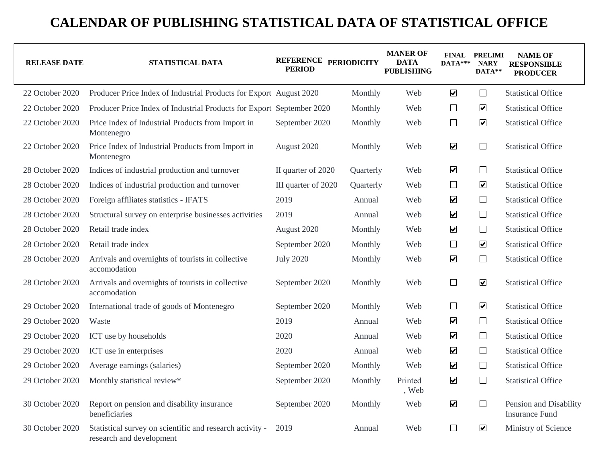| <b>RELEASE DATE</b> | STATISTICAL DATA                                                                     | REFERENCE PERIODICITY<br><b>PERIOD</b> |           | <b>MANER OF</b><br><b>DATA</b><br><b>PUBLISHING</b> | $DATA***$            | <b>FINAL PRELIMI</b><br><b>NARY</b><br>DATA** | <b>NAME OF</b><br><b>RESPONSIBLE</b><br><b>PRODUCER</b> |
|---------------------|--------------------------------------------------------------------------------------|----------------------------------------|-----------|-----------------------------------------------------|----------------------|-----------------------------------------------|---------------------------------------------------------|
| 22 October 2020     | Producer Price Index of Industrial Products for Export August 2020                   |                                        | Monthly   | Web                                                 | $\blacktriangledown$ | ⊔                                             | <b>Statistical Office</b>                               |
| 22 October 2020     | Producer Price Index of Industrial Products for Export September 2020                |                                        | Monthly   | Web                                                 | $\Box$               | $\overline{\mathbf{v}}$                       | <b>Statistical Office</b>                               |
| 22 October 2020     | Price Index of Industrial Products from Import in<br>Montenegro                      | September 2020                         | Monthly   | Web                                                 | $\Box$               | $\boxed{\blacktriangledown}$                  | <b>Statistical Office</b>                               |
| 22 October 2020     | Price Index of Industrial Products from Import in<br>Montenegro                      | August 2020                            | Monthly   | Web                                                 | $\blacktriangledown$ | $\Box$                                        | <b>Statistical Office</b>                               |
| 28 October 2020     | Indices of industrial production and turnover                                        | II quarter of 2020                     | Quarterly | Web                                                 | $\blacktriangledown$ | $\Box$                                        | <b>Statistical Office</b>                               |
| 28 October 2020     | Indices of industrial production and turnover                                        | III quarter of 2020                    | Quarterly | Web                                                 | $\Box$               | $\boxed{\blacktriangledown}$                  | <b>Statistical Office</b>                               |
| 28 October 2020     | Foreign affiliates statistics - IFATS                                                | 2019                                   | Annual    | Web                                                 | $\blacktriangledown$ | $\Box$                                        | <b>Statistical Office</b>                               |
| 28 October 2020     | Structural survey on enterprise businesses activities                                | 2019                                   | Annual    | Web                                                 | $\blacktriangledown$ | $\Box$                                        | <b>Statistical Office</b>                               |
| 28 October 2020     | Retail trade index                                                                   | August 2020                            | Monthly   | Web                                                 | $\blacktriangledown$ | $\Box$                                        | <b>Statistical Office</b>                               |
| 28 October 2020     | Retail trade index                                                                   | September 2020                         | Monthly   | Web                                                 | $\Box$               | $\boxed{\blacktriangledown}$                  | <b>Statistical Office</b>                               |
| 28 October 2020     | Arrivals and overnights of tourists in collective<br>accomodation                    | <b>July 2020</b>                       | Monthly   | Web                                                 | $\blacktriangledown$ | $\Box$                                        | <b>Statistical Office</b>                               |
| 28 October 2020     | Arrivals and overnights of tourists in collective<br>accomodation                    | September 2020                         | Monthly   | Web                                                 | $\Box$               | $\boxed{\blacktriangledown}$                  | <b>Statistical Office</b>                               |
| 29 October 2020     | International trade of goods of Montenegro                                           | September 2020                         | Monthly   | Web                                                 | $\Box$               | $\overline{\mathbf{v}}$                       | <b>Statistical Office</b>                               |
| 29 October 2020     | Waste                                                                                | 2019                                   | Annual    | Web                                                 | $\blacktriangledown$ | $\Box$                                        | <b>Statistical Office</b>                               |
| 29 October 2020     | ICT use by households                                                                | 2020                                   | Annual    | Web                                                 | $\blacktriangledown$ | $\Box$                                        | <b>Statistical Office</b>                               |
| 29 October 2020     | ICT use in enterprises                                                               | 2020                                   | Annual    | Web                                                 | $\blacktriangledown$ | $\Box$                                        | <b>Statistical Office</b>                               |
| 29 October 2020     | Average earnings (salaries)                                                          | September 2020                         | Monthly   | Web                                                 | $\blacktriangledown$ | $\Box$                                        | <b>Statistical Office</b>                               |
| 29 October 2020     | Monthly statistical review*                                                          | September 2020                         | Monthly   | Printed<br>, Web                                    | $\blacktriangledown$ | $\Box$                                        | <b>Statistical Office</b>                               |
| 30 October 2020     | Report on pension and disability insurance<br>beneficiaries                          | September 2020                         | Monthly   | Web                                                 | $\blacktriangledown$ | $\Box$                                        | Pension and Disability<br><b>Insurance Fund</b>         |
| 30 October 2020     | Statistical survey on scientific and research activity -<br>research and development | 2019                                   | Annual    | Web                                                 | ⊔                    | $\overline{\mathbf{v}}$                       | Ministry of Science                                     |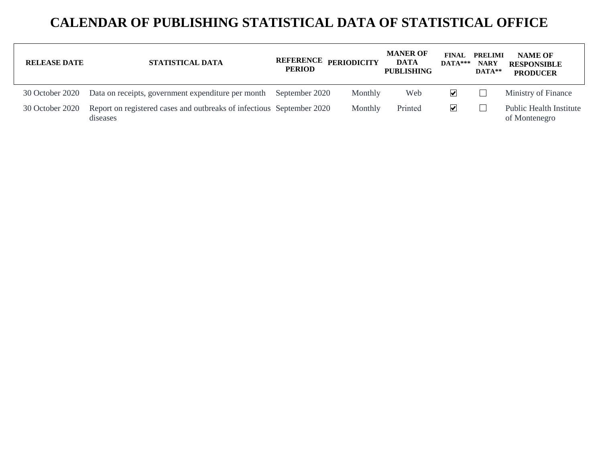| <b>RELEASE DATE</b> | STATISTICAL DATA                                                                  | <b>PERIOD</b> | REFERENCE PERIODICITY | <b>MANER OF</b><br>DATA<br><b>PUBLISHING</b> | <b>FINAL</b><br>$DATA***$   | <b>PRELIMI</b><br><b>NARY</b><br>$\mathbf{DATA}$ ** | <b>NAME OF</b><br><b>RESPONSIBLE</b><br><b>PRODUCER</b> |
|---------------------|-----------------------------------------------------------------------------------|---------------|-----------------------|----------------------------------------------|-----------------------------|-----------------------------------------------------|---------------------------------------------------------|
| 30 October 2020     | Data on receipts, government expenditure per month September 2020                 |               | Monthly               | Web                                          | $\vert\bm{\mathsf{v}}\vert$ |                                                     | Ministry of Finance                                     |
| 30 October 2020     | Report on registered cases and outbreaks of infectious September 2020<br>diseases |               | Monthly               | Printed                                      | ⊻                           |                                                     | Public Health Institute<br>of Montenegro                |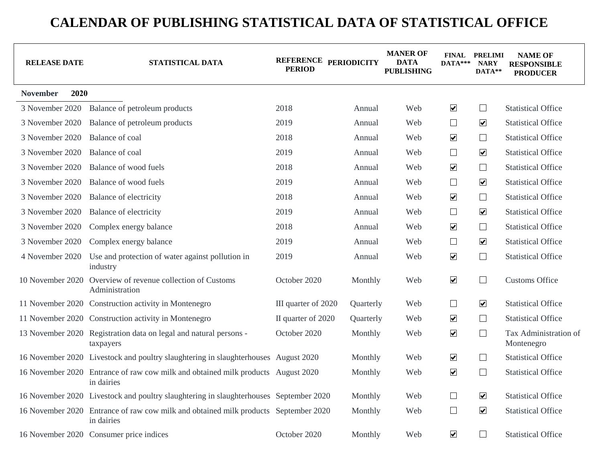| <b>RELEASE DATE</b>     | STATISTICAL DATA                                                                                  | REFERENCE PERIODICITY<br><b>PERIOD</b> |           | <b>MANER OF</b><br><b>DATA</b><br><b>PUBLISHING</b> | $DATA***$               | <b>FINAL PRELIMI</b><br><b>NARY</b><br>DATA** | <b>NAME OF</b><br><b>RESPONSIBLE</b><br><b>PRODUCER</b> |
|-------------------------|---------------------------------------------------------------------------------------------------|----------------------------------------|-----------|-----------------------------------------------------|-------------------------|-----------------------------------------------|---------------------------------------------------------|
| 2020<br><b>November</b> |                                                                                                   |                                        |           |                                                     |                         |                                               |                                                         |
| 3 November 2020         | Balance of petroleum products                                                                     | 2018                                   | Annual    | Web                                                 | $\blacktriangledown$    | $\Box$                                        | <b>Statistical Office</b>                               |
| 3 November 2020         | Balance of petroleum products                                                                     | 2019                                   | Annual    | Web                                                 | $\Box$                  | $\overline{\mathbf{v}}$                       | <b>Statistical Office</b>                               |
| 3 November 2020         | Balance of coal                                                                                   | 2018                                   | Annual    | Web                                                 | $\blacktriangledown$    | $\Box$                                        | <b>Statistical Office</b>                               |
| 3 November 2020         | Balance of coal                                                                                   | 2019                                   | Annual    | Web                                                 | $\Box$                  | $\blacktriangledown$                          | <b>Statistical Office</b>                               |
| 3 November 2020         | Balance of wood fuels                                                                             | 2018                                   | Annual    | Web                                                 | $\overline{\mathbf{v}}$ | $\Box$                                        | <b>Statistical Office</b>                               |
| 3 November 2020         | Balance of wood fuels                                                                             | 2019                                   | Annual    | Web                                                 | $\Box$                  | $\boxed{\blacktriangledown}$                  | <b>Statistical Office</b>                               |
| 3 November 2020         | Balance of electricity                                                                            | 2018                                   | Annual    | Web                                                 | $\blacktriangledown$    | $\Box$                                        | <b>Statistical Office</b>                               |
| 3 November 2020         | Balance of electricity                                                                            | 2019                                   | Annual    | Web                                                 | $\Box$                  | $\boxed{\blacktriangledown}$                  | <b>Statistical Office</b>                               |
| 3 November 2020         | Complex energy balance                                                                            | 2018                                   | Annual    | Web                                                 | $\blacktriangledown$    | $\Box$                                        | <b>Statistical Office</b>                               |
| 3 November 2020         | Complex energy balance                                                                            | 2019                                   | Annual    | Web                                                 | $\Box$                  | $\overline{\mathbf{v}}$                       | <b>Statistical Office</b>                               |
| 4 November 2020         | Use and protection of water against pollution in<br>industry                                      | 2019                                   | Annual    | Web                                                 | $\blacktriangledown$    | $\Box$                                        | <b>Statistical Office</b>                               |
|                         | 10 November 2020 Overview of revenue collection of Customs<br>Administration                      | October 2020                           | Monthly   | Web                                                 | $\blacktriangledown$    | $\Box$                                        | <b>Customs Office</b>                                   |
|                         | 11 November 2020 Construction activity in Montenegro                                              | III quarter of 2020                    | Quarterly | Web                                                 | $\Box$                  | $\overline{\mathbf{v}}$                       | <b>Statistical Office</b>                               |
|                         | 11 November 2020 Construction activity in Montenegro                                              | II quarter of 2020                     | Quarterly | Web                                                 | $\blacktriangledown$    | $\Box$                                        | <b>Statistical Office</b>                               |
|                         | 13 November 2020 Registration data on legal and natural persons -<br>taxpayers                    | October 2020                           | Monthly   | Web                                                 | $\blacktriangledown$    | $\Box$                                        | Tax Administration of<br>Montenegro                     |
|                         | 16 November 2020 Livestock and poultry slaughtering in slaughterhouses August 2020                |                                        | Monthly   | Web                                                 | $\blacktriangledown$    | $\Box$                                        | <b>Statistical Office</b>                               |
|                         | 16 November 2020 Entrance of raw cow milk and obtained milk products August 2020<br>in dairies    |                                        | Monthly   | Web                                                 | $\blacktriangledown$    | $\Box$                                        | <b>Statistical Office</b>                               |
|                         | 16 November 2020 Livestock and poultry slaughtering in slaughterhouses September 2020             |                                        | Monthly   | Web                                                 | $\Box$                  | $\overline{\mathbf{v}}$                       | <b>Statistical Office</b>                               |
|                         | 16 November 2020 Entrance of raw cow milk and obtained milk products September 2020<br>in dairies |                                        | Monthly   | Web                                                 | $\Box$                  | $\boxed{\blacktriangledown}$                  | <b>Statistical Office</b>                               |
|                         | 16 November 2020 Consumer price indices                                                           | October 2020                           | Monthly   | Web                                                 | $\blacktriangledown$    | $\Box$                                        | <b>Statistical Office</b>                               |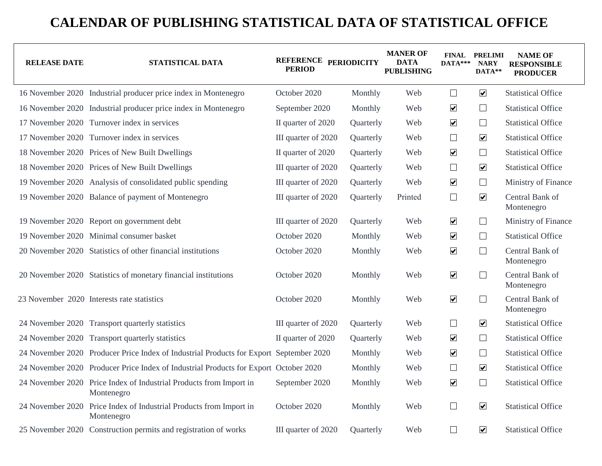| <b>RELEASE DATE</b> | STATISTICAL DATA                                                                       | REFERENCE PERIODICITY<br><b>PERIOD</b> |           |         |                       | <b>MANER OF</b><br><b>DATA</b><br><b>PUBLISHING</b> | $DATA***$                     | <b>FINAL PRELIMI</b><br><b>NARY</b><br>DATA** | <b>NAME OF</b><br><b>RESPONSIBLE</b><br><b>PRODUCER</b> |
|---------------------|----------------------------------------------------------------------------------------|----------------------------------------|-----------|---------|-----------------------|-----------------------------------------------------|-------------------------------|-----------------------------------------------|---------------------------------------------------------|
|                     | 16 November 2020 Industrial producer price index in Montenegro                         | October 2020                           | Monthly   | Web     | $\Box$                | $\overline{\mathbf{v}}$                             | <b>Statistical Office</b>     |                                               |                                                         |
|                     | 16 November 2020 Industrial producer price index in Montenegro                         | September 2020                         | Monthly   | Web     | $\blacktriangledown$  | $\Box$                                              | <b>Statistical Office</b>     |                                               |                                                         |
|                     | 17 November 2020 Turnover index in services                                            | II quarter of 2020                     | Quarterly | Web     | $\blacktriangleright$ | $\Box$                                              | <b>Statistical Office</b>     |                                               |                                                         |
|                     | 17 November 2020 Turnover index in services                                            | III quarter of 2020                    | Quarterly | Web     | $\Box$                | $\overline{\mathbf{v}}$                             | <b>Statistical Office</b>     |                                               |                                                         |
|                     | 18 November 2020 Prices of New Built Dwellings                                         | II quarter of 2020                     | Quarterly | Web     | $\blacktriangledown$  | $\Box$                                              | <b>Statistical Office</b>     |                                               |                                                         |
|                     | 18 November 2020 Prices of New Built Dwellings                                         | III quarter of 2020                    | Quarterly | Web     | $\Box$                | $\overline{\mathbf{v}}$                             | <b>Statistical Office</b>     |                                               |                                                         |
|                     | 19 November 2020 Analysis of consolidated public spending                              | III quarter of 2020                    | Quarterly | Web     | $\blacktriangledown$  | ⊔                                                   | Ministry of Finance           |                                               |                                                         |
|                     | 19 November 2020 Balance of payment of Montenegro                                      | III quarter of 2020                    | Quarterly | Printed | $\Box$                | $\overline{\mathbf{v}}$                             | Central Bank of<br>Montenegro |                                               |                                                         |
|                     | 19 November 2020 Report on government debt                                             | III quarter of 2020                    | Quarterly | Web     | $\blacktriangledown$  | $\Box$                                              | Ministry of Finance           |                                               |                                                         |
|                     | 19 November 2020 Minimal consumer basket                                               | October 2020                           | Monthly   | Web     | $\blacktriangledown$  | $\Box$                                              | <b>Statistical Office</b>     |                                               |                                                         |
|                     | 20 November 2020 Statistics of other financial institutions                            | October 2020                           | Monthly   | Web     | $\blacktriangledown$  | $\Box$                                              | Central Bank of<br>Montenegro |                                               |                                                         |
|                     | 20 November 2020 Statistics of monetary financial institutions                         | October 2020                           | Monthly   | Web     | $\blacktriangledown$  | $\Box$                                              | Central Bank of<br>Montenegro |                                               |                                                         |
|                     | 23 November 2020 Interests rate statistics                                             | October 2020                           | Monthly   | Web     | $\blacktriangledown$  | $\Box$                                              | Central Bank of<br>Montenegro |                                               |                                                         |
|                     | 24 November 2020 Transport quarterly statistics                                        | III quarter of 2020                    | Quarterly | Web     | $\Box$                | $\blacktriangledown$                                | <b>Statistical Office</b>     |                                               |                                                         |
|                     | 24 November 2020 Transport quarterly statistics                                        | II quarter of 2020                     | Quarterly | Web     | $\blacktriangledown$  | $\Box$                                              | <b>Statistical Office</b>     |                                               |                                                         |
|                     | 24 November 2020 Producer Price Index of Industrial Products for Export September 2020 |                                        | Monthly   | Web     | $\blacktriangledown$  | $\Box$                                              | <b>Statistical Office</b>     |                                               |                                                         |
|                     | 24 November 2020 Producer Price Index of Industrial Products for Export October 2020   |                                        | Monthly   | Web     | $\Box$                | $\overline{\mathbf{v}}$                             | <b>Statistical Office</b>     |                                               |                                                         |
|                     | 24 November 2020 Price Index of Industrial Products from Import in<br>Montenegro       | September 2020                         | Monthly   | Web     | $\blacktriangledown$  | $\Box$                                              | <b>Statistical Office</b>     |                                               |                                                         |
|                     | 24 November 2020 Price Index of Industrial Products from Import in<br>Montenegro       | October 2020                           | Monthly   | Web     | $\Box$                | $\overline{\mathbf{v}}$                             | <b>Statistical Office</b>     |                                               |                                                         |
|                     | 25 November 2020 Construction permits and registration of works                        | III quarter of 2020                    | Quarterly | Web     | $\Box$                | $\boxed{\blacktriangledown}$                        | <b>Statistical Office</b>     |                                               |                                                         |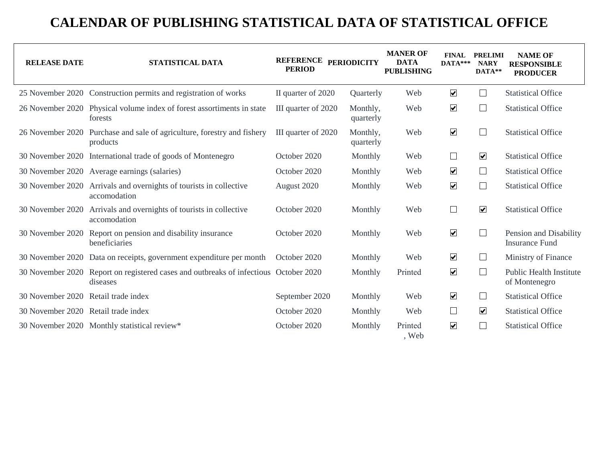| <b>RELEASE DATE</b>                 | STATISTICAL DATA                                                                    | REFERENCE PERIODICITY<br><b>PERIOD</b> |                       | <b>MANER OF</b><br><b>DATA</b><br><b>PUBLISHING</b> | <b>FINAL</b><br>$DATA***$ | <b>PRELIMI</b><br><b>NARY</b><br>DATA** | <b>NAME OF</b><br><b>RESPONSIBLE</b><br><b>PRODUCER</b> |
|-------------------------------------|-------------------------------------------------------------------------------------|----------------------------------------|-----------------------|-----------------------------------------------------|---------------------------|-----------------------------------------|---------------------------------------------------------|
|                                     | 25 November 2020 Construction permits and registration of works                     | II quarter of 2020                     | Quarterly             | Web                                                 | $\blacktriangledown$      | ⊔                                       | <b>Statistical Office</b>                               |
|                                     | 26 November 2020 Physical volume index of forest assortiments in state<br>forests   | III quarter of 2020                    | Monthly,<br>quarterly | Web                                                 | $\blacktriangledown$      | $\Box$                                  | <b>Statistical Office</b>                               |
|                                     | 26 November 2020 Purchase and sale of agriculture, forestry and fishery<br>products | III quarter of 2020                    | Monthly,<br>quarterly | Web                                                 | $\blacktriangledown$      | $\sim$                                  | <b>Statistical Office</b>                               |
|                                     | 30 November 2020 International trade of goods of Montenegro                         | October 2020                           | Monthly               | Web                                                 | $\Box$                    | $\blacktriangledown$                    | <b>Statistical Office</b>                               |
|                                     | 30 November 2020 Average earnings (salaries)                                        | October 2020                           | Monthly               | Web                                                 | $\blacktriangledown$      | ப                                       | <b>Statistical Office</b>                               |
| 30 November 2020                    | Arrivals and overnights of tourists in collective<br>accomodation                   | August 2020                            | Monthly               | Web                                                 | $\blacktriangledown$      | $\overline{\phantom{a}}$                | <b>Statistical Office</b>                               |
| 30 November 2020                    | Arrivals and overnights of tourists in collective<br>accomodation                   | October 2020                           | Monthly               | Web                                                 | $\Box$                    | $\overline{\mathbf{v}}$                 | <b>Statistical Office</b>                               |
| 30 November 2020                    | Report on pension and disability insurance<br>beneficiaries                         | October 2020                           | Monthly               | Web                                                 | $\blacktriangledown$      | $\overline{\phantom{a}}$                | Pension and Disability<br><b>Insurance Fund</b>         |
|                                     | 30 November 2020 Data on receipts, government expenditure per month                 | October 2020                           | Monthly               | Web                                                 | $\blacktriangledown$      | ⊔                                       | Ministry of Finance                                     |
| 30 November 2020                    | Report on registered cases and outbreaks of infectious October 2020<br>diseases     |                                        | Monthly               | Printed                                             | $\blacktriangledown$      | ⊔                                       | <b>Public Health Institute</b><br>of Montenegro         |
| 30 November 2020 Retail trade index |                                                                                     | September 2020                         | Monthly               | Web                                                 | $\blacktriangledown$      | ⊔                                       | <b>Statistical Office</b>                               |
| 30 November 2020 Retail trade index |                                                                                     | October 2020                           | Monthly               | Web                                                 | $\Box$                    | $\overline{\mathbf{v}}$                 | <b>Statistical Office</b>                               |
|                                     | 30 November 2020 Monthly statistical review*                                        | October 2020                           | Monthly               | Printed<br>, Web                                    | $\blacktriangledown$      |                                         | <b>Statistical Office</b>                               |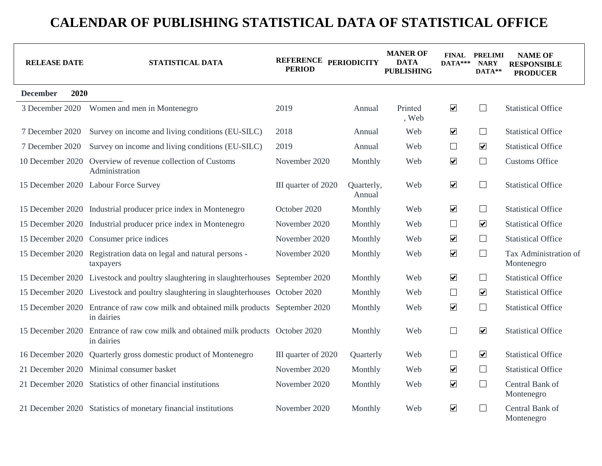| <b>RELEASE DATE</b>     | STATISTICAL DATA                                                                                  | REFERENCE PERIODICITY<br><b>PERIOD</b> |                      | <b>MANER OF</b><br><b>DATA</b><br><b>PUBLISHING</b> | $DATA***$               | <b>FINAL PRELIMI</b><br><b>NARY</b><br>DATA** | <b>NAME OF</b><br><b>RESPONSIBLE</b><br><b>PRODUCER</b> |
|-------------------------|---------------------------------------------------------------------------------------------------|----------------------------------------|----------------------|-----------------------------------------------------|-------------------------|-----------------------------------------------|---------------------------------------------------------|
| 2020<br><b>December</b> |                                                                                                   |                                        |                      |                                                     |                         |                                               |                                                         |
| 3 December 2020         | Women and men in Montenegro                                                                       | 2019                                   | Annual               | Printed<br>, Web                                    | $\blacktriangledown$    | ⊔                                             | <b>Statistical Office</b>                               |
| 7 December 2020         | Survey on income and living conditions (EU-SILC)                                                  | 2018                                   | Annual               | Web                                                 | $\blacktriangledown$    | $\Box$                                        | <b>Statistical Office</b>                               |
| 7 December 2020         | Survey on income and living conditions (EU-SILC)                                                  | 2019                                   | Annual               | Web                                                 | $\Box$                  | $\boxed{\blacktriangledown}$                  | <b>Statistical Office</b>                               |
| 10 December 2020        | Overview of revenue collection of Customs<br>Administration                                       | November 2020                          | Monthly              | Web                                                 | $\blacktriangledown$    | $\Box$                                        | <b>Customs Office</b>                                   |
|                         | 15 December 2020 Labour Force Survey                                                              | III quarter of 2020                    | Quarterly,<br>Annual | Web                                                 | $\blacktriangledown$    | $\Box$                                        | <b>Statistical Office</b>                               |
|                         | 15 December 2020 Industrial producer price index in Montenegro                                    | October 2020                           | Monthly              | Web                                                 | $\blacktriangledown$    | $\Box$                                        | <b>Statistical Office</b>                               |
|                         | 15 December 2020 Industrial producer price index in Montenegro                                    | November 2020                          | Monthly              | Web                                                 | $\Box$                  | $\boxed{\blacktriangledown}$                  | <b>Statistical Office</b>                               |
|                         | 15 December 2020 Consumer price indices                                                           | November 2020                          | Monthly              | Web                                                 | $\blacktriangledown$    | $\Box$                                        | <b>Statistical Office</b>                               |
| 15 December 2020        | Registration data on legal and natural persons -<br>taxpayers                                     | November 2020                          | Monthly              | Web                                                 | $\blacktriangledown$    | $\Box$                                        | Tax Administration of<br>Montenegro                     |
|                         | 15 December 2020 Livestock and poultry slaughtering in slaughterhouses September 2020             |                                        | Monthly              | Web                                                 | $\blacktriangledown$    | $\Box$                                        | <b>Statistical Office</b>                               |
|                         | 15 December 2020 Livestock and poultry slaughtering in slaughterhouses October 2020               |                                        | Monthly              | Web                                                 | $\Box$                  | $\boxed{\blacktriangledown}$                  | <b>Statistical Office</b>                               |
|                         | 15 December 2020 Entrance of raw cow milk and obtained milk products September 2020<br>in dairies |                                        | Monthly              | Web                                                 | $\overline{\mathbf{v}}$ | $\Box$                                        | <b>Statistical Office</b>                               |
| 15 December 2020        | Entrance of raw cow milk and obtained milk products October 2020<br>in dairies                    |                                        | Monthly              | Web                                                 | $\Box$                  | $\boxed{\blacktriangledown}$                  | <b>Statistical Office</b>                               |
| 16 December 2020        | Quarterly gross domestic product of Montenegro                                                    | III quarter of 2020                    | Quarterly            | Web                                                 | $\Box$                  | $\overline{\mathbf{v}}$                       | <b>Statistical Office</b>                               |
| 21 December 2020        | Minimal consumer basket                                                                           | November 2020                          | Monthly              | Web                                                 | $\blacktriangledown$    | $\Box$                                        | <b>Statistical Office</b>                               |
|                         | 21 December 2020 Statistics of other financial institutions                                       | November 2020                          | Monthly              | Web                                                 | $\blacktriangledown$    | $\Box$                                        | Central Bank of<br>Montenegro                           |
|                         | 21 December 2020 Statistics of monetary financial institutions                                    | November 2020                          | Monthly              | Web                                                 | $\overline{\mathbf{v}}$ | $\perp$                                       | Central Bank of<br>Montenegro                           |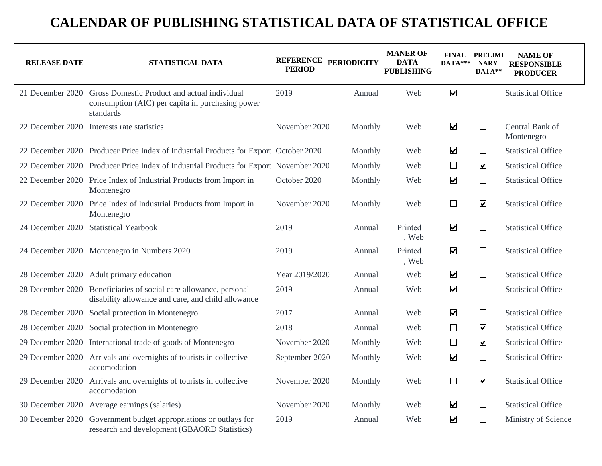| <b>RELEASE DATE</b> | STATISTICAL DATA                                                                                                               | <b>PERIOD</b>  | REFERENCE PERIODICITY | <b>MANER OF</b><br><b>DATA</b><br><b>PUBLISHING</b> | DATA*** NARY         | <b>FINAL PRELIMI</b><br>DATA** | <b>NAME OF</b><br><b>RESPONSIBLE</b><br><b>PRODUCER</b> |
|---------------------|--------------------------------------------------------------------------------------------------------------------------------|----------------|-----------------------|-----------------------------------------------------|----------------------|--------------------------------|---------------------------------------------------------|
|                     | 21 December 2020 Gross Domestic Product and actual individual<br>consumption (AIC) per capita in purchasing power<br>standards | 2019           | Annual                | Web                                                 | $\blacktriangledown$ | $\Box$                         | <b>Statistical Office</b>                               |
|                     | 22 December 2020 Interests rate statistics                                                                                     | November 2020  | Monthly               | Web                                                 | $\blacktriangledown$ | $\Box$                         | Central Bank of<br>Montenegro                           |
|                     | 22 December 2020 Producer Price Index of Industrial Products for Export October 2020                                           |                | Monthly               | Web                                                 | $\blacktriangledown$ | $\Box$                         | <b>Statistical Office</b>                               |
|                     | 22 December 2020 Producer Price Index of Industrial Products for Export November 2020                                          |                | Monthly               | Web                                                 | $\Box$               | $\overline{\mathbf{v}}$        | <b>Statistical Office</b>                               |
|                     | 22 December 2020 Price Index of Industrial Products from Import in<br>Montenegro                                               | October 2020   | Monthly               | Web                                                 | $\blacktriangledown$ | $\Box$                         | <b>Statistical Office</b>                               |
|                     | 22 December 2020 Price Index of Industrial Products from Import in<br>Montenegro                                               | November 2020  | Monthly               | Web                                                 | $\Box$               | $\overline{\mathbf{v}}$        | <b>Statistical Office</b>                               |
|                     | 24 December 2020 Statistical Yearbook                                                                                          | 2019           | Annual                | Printed<br>, Web                                    | $\blacktriangledown$ | $\Box$                         | <b>Statistical Office</b>                               |
|                     | 24 December 2020 Montenegro in Numbers 2020                                                                                    | 2019           | Annual                | Printed<br>, Web                                    | $\blacktriangledown$ | $\Box$                         | <b>Statistical Office</b>                               |
|                     | 28 December 2020 Adult primary education                                                                                       | Year 2019/2020 | Annual                | Web                                                 | $\blacktriangledown$ | $\Box$                         | <b>Statistical Office</b>                               |
|                     | 28 December 2020 Beneficiaries of social care allowance, personal<br>disability allowance and care, and child allowance        | 2019           | Annual                | Web                                                 | $\blacktriangledown$ | $\Box$                         | <b>Statistical Office</b>                               |
|                     | 28 December 2020 Social protection in Montenegro                                                                               | 2017           | Annual                | Web                                                 | $\blacktriangledown$ | $\Box$                         | <b>Statistical Office</b>                               |
|                     | 28 December 2020 Social protection in Montenegro                                                                               | 2018           | Annual                | Web                                                 | $\Box$               | $\overline{\mathbf{v}}$        | <b>Statistical Office</b>                               |
|                     | 29 December 2020 International trade of goods of Montenegro                                                                    | November 2020  | Monthly               | Web                                                 | $\Box$               | $\overline{\mathbf{v}}$        | <b>Statistical Office</b>                               |
| 29 December 2020    | Arrivals and overnights of tourists in collective<br>accomodation                                                              | September 2020 | Monthly               | Web                                                 | $\blacktriangledown$ | $\Box$                         | <b>Statistical Office</b>                               |
|                     | 29 December 2020 Arrivals and overnights of tourists in collective<br>accomodation                                             | November 2020  | Monthly               | Web                                                 | $\Box$               | $\overline{\mathbf{v}}$        | <b>Statistical Office</b>                               |
|                     | 30 December 2020 Average earnings (salaries)                                                                                   | November 2020  | Monthly               | Web                                                 | $\blacktriangledown$ | $\Box$                         | <b>Statistical Office</b>                               |
|                     | 30 December 2020 Government budget appropriations or outlays for<br>research and development (GBAORD Statistics)               | 2019           | Annual                | Web                                                 | $\blacktriangledown$ | $\Box$                         | Ministry of Science                                     |